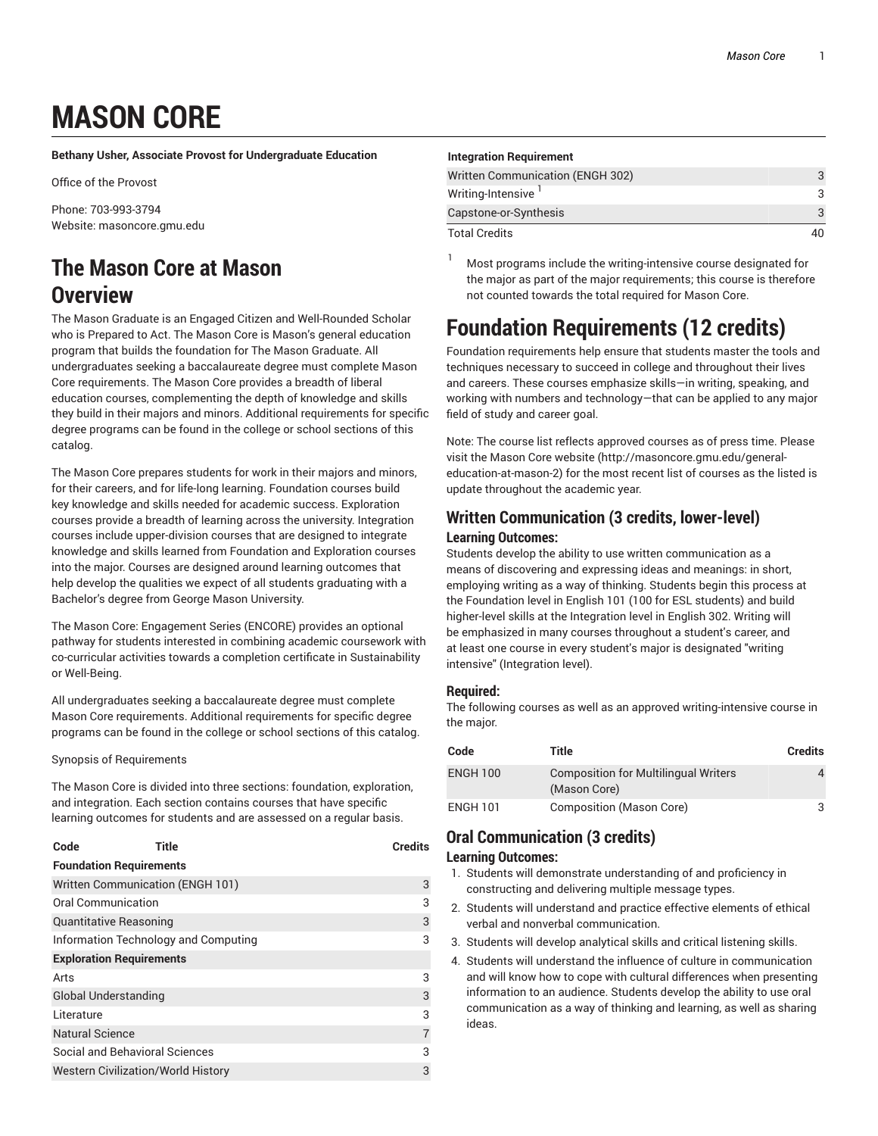# **MASON CORE**

**Bethany Usher, Associate Provost for Undergraduate Education**

Office of the Provost

Phone: 703-993-3794 Website: masoncore.gmu.edu

## **The Mason Core at Mason Overview**

The Mason Graduate is an Engaged Citizen and Well-Rounded Scholar who is Prepared to Act. The Mason Core is Mason's general education program that builds the foundation for The Mason Graduate. All undergraduates seeking a baccalaureate degree must complete Mason Core requirements. The Mason Core provides a breadth of liberal education courses, complementing the depth of knowledge and skills they build in their majors and minors. Additional requirements for specific degree programs can be found in the college or school sections of this catalog.

The Mason Core prepares students for work in their majors and minors, for their careers, and for life-long learning. Foundation courses build key knowledge and skills needed for academic success. Exploration courses provide a breadth of learning across the university. Integration courses include upper-division courses that are designed to integrate knowledge and skills learned from Foundation and Exploration courses into the major. Courses are designed around learning outcomes that help develop the qualities we expect of all students graduating with a Bachelor's degree from George Mason University.

The Mason Core: Engagement Series (ENCORE) provides an optional pathway for students interested in combining academic coursework with co-curricular activities towards a completion certificate in Sustainability or Well-Being.

All undergraduates seeking a baccalaureate degree must complete Mason Core requirements. Additional requirements for specific degree programs can be found in the college or school sections of this catalog.

Synopsis of Requirements

The Mason Core is divided into three sections: foundation, exploration, and integration. Each section contains courses that have specific learning outcomes for students and are assessed on a regular basis.

| Code | Title | <b>Credits</b> |
|------|-------|----------------|
|      |       |                |

| <b>Foundation Requirements</b>            |   |
|-------------------------------------------|---|
| Written Communication (ENGH 101)          | 3 |
| <b>Oral Communication</b>                 | 3 |
| <b>Quantitative Reasoning</b>             | 3 |
| Information Technology and Computing      | 3 |
| <b>Exploration Requirements</b>           |   |
| Arts                                      | 3 |
| Global Understanding                      | 3 |
| Literature                                | 3 |
| <b>Natural Science</b>                    |   |
| Social and Behavioral Sciences            | 3 |
| <b>Western Civilization/World History</b> | 3 |

| <b>Integration Requirement</b>   |   |
|----------------------------------|---|
|                                  |   |
| Written Communication (ENGH 302) | 3 |
| Writing-Intensive                | 3 |
| Capstone-or-Synthesis            | 3 |
| <b>Total Credits</b>             |   |

<sup>1</sup> Most programs include the writing-intensive course designated for the major as part of the major requirements; this course is therefore not counted towards the total required for Mason Core.

## **Foundation Requirements (12 credits)**

Foundation requirements help ensure that students master the tools and techniques necessary to succeed in college and throughout their lives and careers. These courses emphasize skills—in writing, speaking, and working with numbers and technology—that can be applied to any major field of study and career goal.

Note: The course list reflects approved courses as of press time. Please visit the Mason Core website (http://masoncore.gmu.edu/generaleducation-at-mason-2) for the most recent list of courses as the listed is update throughout the academic year.

### **Written Communication (3 credits, lower-level) Learning Outcomes:**

Students develop the ability to use written communication as a means of discovering and expressing ideas and meanings: in short, employing writing as a way of thinking. Students begin this process at the Foundation level in English 101 (100 for ESL students) and build higher-level skills at the Integration level in English 302. Writing will be emphasized in many courses throughout a student's career, and at least one course in every student's major is designated "writing intensive" (Integration level).

### **Required:**

The following courses as well as an approved writing-intensive course in the major.

| Code            | Title                                                       | <b>Credits</b> |
|-----------------|-------------------------------------------------------------|----------------|
| <b>ENGH 100</b> | <b>Composition for Multilingual Writers</b><br>(Mason Core) |                |
| <b>ENGH 101</b> | Composition (Mason Core)                                    |                |

### **Oral Communication (3 credits)**

### **Learning Outcomes:**

- 1. Students will demonstrate understanding of and proficiency in constructing and delivering multiple message types.
- 2. Students will understand and practice effective elements of ethical verbal and nonverbal communication.
- 3. Students will develop analytical skills and critical listening skills.
- 4. Students will understand the influence of culture in communication and will know how to cope with cultural differences when presenting information to an audience. Students develop the ability to use oral communication as a way of thinking and learning, as well as sharing ideas.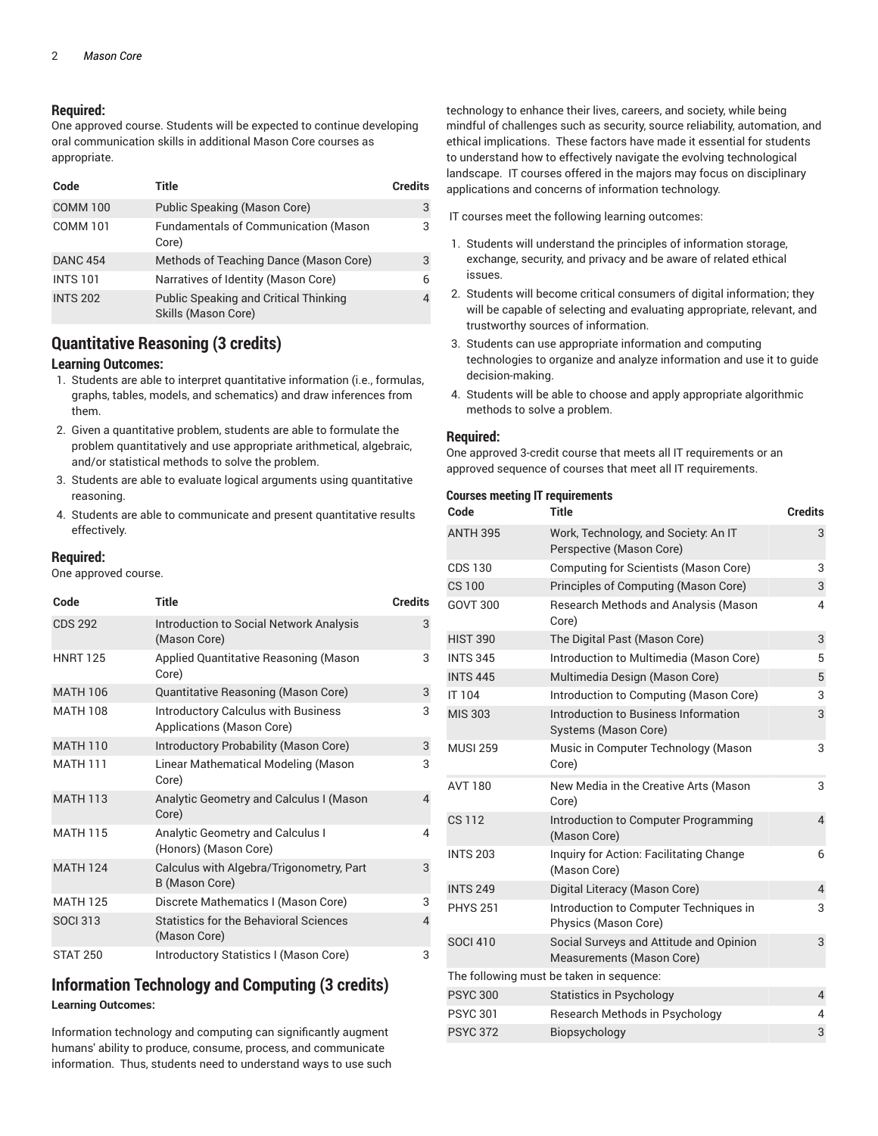### **Required:**

One approved course. Students will be expected to continue developing oral communication skills in additional Mason Core courses as appropriate.

| Code            | Title                                                               | <b>Credits</b> |
|-----------------|---------------------------------------------------------------------|----------------|
| <b>COMM 100</b> | Public Speaking (Mason Core)                                        | 3              |
| <b>COMM 101</b> | Fundamentals of Communication (Mason<br>Core)                       | 3              |
| <b>DANC 454</b> | Methods of Teaching Dance (Mason Core)                              | 3              |
| <b>INTS 101</b> | Narratives of Identity (Mason Core)                                 | 6              |
| <b>INTS 202</b> | <b>Public Speaking and Critical Thinking</b><br>Skills (Mason Core) | $\Delta$       |

### **Quantitative Reasoning (3 credits)**

#### **Learning Outcomes:**

- 1. Students are able to interpret quantitative information (i.e., formulas, graphs, tables, models, and schematics) and draw inferences from them.
- 2. Given a quantitative problem, students are able to formulate the problem quantitatively and use appropriate arithmetical, algebraic, and/or statistical methods to solve the problem.
- 3. Students are able to evaluate logical arguments using quantitative reasoning.
- 4. Students are able to communicate and present quantitative results effectively.

### **Required:**

One approved course.

| Code            | Title                                                                   | <b>Credits</b> |
|-----------------|-------------------------------------------------------------------------|----------------|
| <b>CDS 292</b>  | <b>Introduction to Social Network Analysis</b><br>(Mason Core)          | 3              |
| <b>HNRT 125</b> | Applied Quantitative Reasoning (Mason<br>Core)                          | 3              |
| <b>MATH 106</b> | Quantitative Reasoning (Mason Core)                                     | 3              |
| <b>MATH 108</b> | <b>Introductory Calculus with Business</b><br>Applications (Mason Core) | 3              |
| <b>MATH 110</b> | Introductory Probability (Mason Core)                                   | 3              |
| <b>MATH 111</b> | Linear Mathematical Modeling (Mason<br>Core)                            | 3              |
| <b>MATH 113</b> | Analytic Geometry and Calculus I (Mason<br>Core)                        | 4              |
| <b>MATH 115</b> | <b>Analytic Geometry and Calculus I</b><br>(Honors) (Mason Core)        | 4              |
| <b>MATH 124</b> | Calculus with Algebra/Trigonometry, Part<br>B (Mason Core)              | 3              |
| <b>MATH 125</b> | Discrete Mathematics I (Mason Core)                                     | 3              |
| <b>SOCI 313</b> | Statistics for the Behavioral Sciences<br>(Mason Core)                  | 4              |
| <b>STAT 250</b> | Introductory Statistics I (Mason Core)                                  | 3              |

### **Information Technology and Computing (3 credits)**

#### **Learning Outcomes:**

Information technology and computing can significantly augment humans' ability to produce, consume, process, and communicate information. Thus, students need to understand ways to use such technology to enhance their lives, careers, and society, while being mindful of challenges such as security, source reliability, automation, and ethical implications. These factors have made it essential for students to understand how to effectively navigate the evolving technological landscape. IT courses offered in the majors may focus on disciplinary applications and concerns of information technology.

IT courses meet the following learning outcomes:

- 1. Students will understand the principles of information storage, exchange, security, and privacy and be aware of related ethical issues.
- 2. Students will become critical consumers of digital information; they will be capable of selecting and evaluating appropriate, relevant, and trustworthy sources of information.
- 3. Students can use appropriate information and computing technologies to organize and analyze information and use it to guide decision-making.
- 4. Students will be able to choose and apply appropriate algorithmic methods to solve a problem.

#### **Required:**

One approved 3-credit course that meets all IT requirements or an approved sequence of courses that meet all IT requirements.

| <b>Courses meeting IT requirements</b> |                                                                      |                |
|----------------------------------------|----------------------------------------------------------------------|----------------|
| Code                                   | Title                                                                | <b>Credits</b> |
| <b>ANTH 395</b>                        | Work, Technology, and Society: An IT<br>Perspective (Mason Core)     | 3              |
| <b>CDS 130</b>                         | Computing for Scientists (Mason Core)                                | 3              |
| CS 100                                 | Principles of Computing (Mason Core)                                 | 3              |
| <b>GOVT 300</b>                        | Research Methods and Analysis (Mason<br>Core)                        | 4              |
| <b>HIST 390</b>                        | The Digital Past (Mason Core)                                        | 3              |
| <b>INTS 345</b>                        | Introduction to Multimedia (Mason Core)                              | 5              |
| <b>INTS 445</b>                        | Multimedia Design (Mason Core)                                       | 5              |
| IT 104                                 | Introduction to Computing (Mason Core)                               | 3              |
| <b>MIS 303</b>                         | Introduction to Business Information<br>Systems (Mason Core)         | 3              |
| <b>MUSI 259</b>                        | Music in Computer Technology (Mason<br>Core)                         | 3              |
| <b>AVT 180</b>                         | New Media in the Creative Arts (Mason<br>Core)                       | 3              |
| <b>CS112</b>                           | Introduction to Computer Programming<br>(Mason Core)                 | $\overline{4}$ |
| <b>INTS 203</b>                        | Inquiry for Action: Facilitating Change<br>(Mason Core)              | 6              |
| <b>INTS 249</b>                        | Digital Literacy (Mason Core)                                        | $\overline{4}$ |
| <b>PHYS 251</b>                        | Introduction to Computer Techniques in<br>Physics (Mason Core)       | 3              |
| <b>SOCI 410</b>                        | Social Surveys and Attitude and Opinion<br>Measurements (Mason Core) | 3              |
|                                        | The following must be taken in sequence:                             |                |
| <b>PSYC 300</b>                        | <b>Statistics in Psychology</b>                                      | $\overline{4}$ |
| <b>PSYC 301</b>                        | Research Methods in Psychology                                       | 4              |
| <b>PSYC 372</b>                        | Biopsychology                                                        | 3              |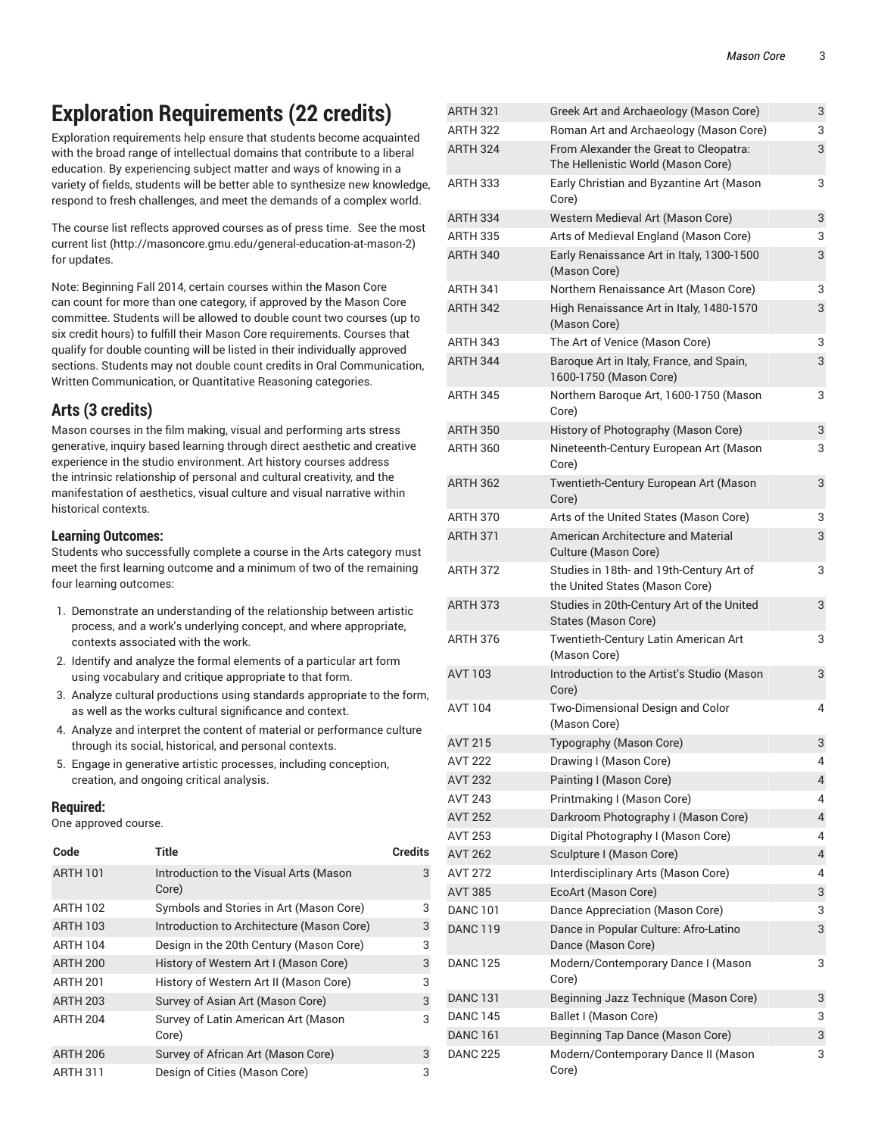## **Exploration Requirements (22 credits)**

Exploration requirements help ensure that students become acquainted with the broad range of intellectual domains that contribute to a liberal education. By experiencing subject matter and ways of knowing in a variety of fields, students will be better able to synthesize new knowledge, respond to fresh challenges, and meet the demands of a complex world.

The course list reflects approved courses as of press time. See the most current list (http://masoncore.gmu.edu/general-education-at-mason-2) for updates.

Note: Beginning Fall 2014, certain courses within the Mason Core can count for more than one category, if approved by the Mason Core committee. Students will be allowed to double count two courses (up to six credit hours) to fulfill their Mason Core requirements. Courses that qualify for double counting will be listed in their individually approved sections. Students may not double count credits in Oral Communication, Written Communication, or Quantitative Reasoning categories.

### **Arts (3 credits)**

Mason courses in the film making, visual and performing arts stress generative, inquiry based learning through direct aesthetic and creative experience in the studio environment. Art history courses address the intrinsic relationship of personal and cultural creativity, and the manifestation of aesthetics, visual culture and visual narrative within historical contexts.

### **Learning Outcomes:**

Students who successfully complete a course in the Arts category must meet the first learning outcome and a minimum of two of the remaining four learning outcomes:

- 1. Demonstrate an understanding of the relationship between artistic process, and a work's underlying concept, and where appropriate, contexts associated with the work.
- 2. Identify and analyze the formal elements of a particular art form using vocabulary and critique appropriate to that form.
- 3. Analyze cultural productions using standards appropriate to the form, as well as the works cultural significance and context.
- 4. Analyze and interpret the content of material or performance culture through its social, historical, and personal contexts.
- 5. Engage in generative artistic processes, including conception, creation, and ongoing critical analysis.

### **Required:**

One approved course.

| Code            | <b>Title</b>                                    | <b>Credits</b> |
|-----------------|-------------------------------------------------|----------------|
| <b>ARTH 101</b> | Introduction to the Visual Arts (Mason<br>Core) | 3              |
| <b>ARTH 102</b> | Symbols and Stories in Art (Mason Core)         | 3              |
| <b>ARTH 103</b> | Introduction to Architecture (Mason Core)       | 3              |
| <b>ARTH 104</b> | Design in the 20th Century (Mason Core)         | 3              |
| <b>ARTH 200</b> | History of Western Art I (Mason Core)           | 3              |
| <b>ARTH 201</b> | History of Western Art II (Mason Core)          | 3              |
| <b>ARTH 203</b> | Survey of Asian Art (Mason Core)                | 3              |
| <b>ARTH 204</b> | Survey of Latin American Art (Mason<br>Core)    | 3              |
| <b>ARTH 206</b> | Survey of African Art (Mason Core)              | 3              |
| <b>ARTH 311</b> | Design of Cities (Mason Core)                   | 3              |

| AIIII JZ I      | Green Art and Archaeology (Mason Core)                                       | ◡              |
|-----------------|------------------------------------------------------------------------------|----------------|
| <b>ARTH 322</b> | Roman Art and Archaeology (Mason Core)                                       | 3              |
| <b>ARTH 324</b> | From Alexander the Great to Cleopatra:<br>The Hellenistic World (Mason Core) | 3              |
| <b>ARTH 333</b> | Early Christian and Byzantine Art (Mason<br>Core)                            | 3              |
| <b>ARTH 334</b> | Western Medieval Art (Mason Core)                                            | 3              |
| ARTH 335        | Arts of Medieval England (Mason Core)                                        | 3              |
| <b>ARTH 340</b> | Early Renaissance Art in Italy, 1300-1500<br>(Mason Core)                    | 3              |
| <b>ARTH 341</b> | Northern Renaissance Art (Mason Core)                                        | 3              |
| <b>ARTH 342</b> | High Renaissance Art in Italy, 1480-1570<br>(Mason Core)                     | 3              |
| <b>ARTH 343</b> | The Art of Venice (Mason Core)                                               | 3              |
| ARTH 344        | Baroque Art in Italy, France, and Spain,<br>1600-1750 (Mason Core)           | 3              |
| <b>ARTH 345</b> | Northern Baroque Art, 1600-1750 (Mason<br>Core)                              | 3              |
| <b>ARTH 350</b> | History of Photography (Mason Core)                                          | 3              |
| <b>ARTH 360</b> | Nineteenth-Century European Art (Mason<br>Core)                              | 3              |
| <b>ARTH 362</b> | Twentieth-Century European Art (Mason<br>Core)                               | 3              |
| <b>ARTH 370</b> | Arts of the United States (Mason Core)                                       | 3              |
| <b>ARTH 371</b> | American Architecture and Material<br>Culture (Mason Core)                   | 3              |
| ARTH 372        | Studies in 18th- and 19th-Century Art of<br>the United States (Mason Core)   | 3              |
| <b>ARTH 373</b> | Studies in 20th-Century Art of the United<br>States (Mason Core)             | 3              |
| ARTH 376        | Twentieth-Century Latin American Art<br>(Mason Core)                         | 3              |
| AVT 103         | Introduction to the Artist's Studio (Mason<br>Core)                          | 3              |
| <b>AVT 104</b>  | Two-Dimensional Design and Color<br>(Mason Core)                             | 4              |
| <b>AVT 215</b>  | Typography (Mason Core)                                                      | 3              |
| AVT 222         | Drawing I (Mason Core)                                                       | 4              |
| <b>AVT 232</b>  | Painting I (Mason Core)                                                      | 4              |
| <b>AVT 243</b>  | Printmaking I (Mason Core)                                                   | 4              |
| <b>AVT 252</b>  | Darkroom Photography I (Mason Core)                                          | 4              |
| <b>AVT 253</b>  | Digital Photography I (Mason Core)                                           | 4              |
| <b>AVT 262</b>  | Sculpture I (Mason Core)                                                     | $\overline{4}$ |
| AVT 272         | Interdisciplinary Arts (Mason Core)                                          | 4              |
| <b>AVT 385</b>  | EcoArt (Mason Core)                                                          | 3              |
| <b>DANC 101</b> | Dance Appreciation (Mason Core)                                              | 3              |
| <b>DANC 119</b> | Dance in Popular Culture: Afro-Latino<br>Dance (Mason Core)                  | 3              |
| <b>DANC 125</b> | Modern/Contemporary Dance I (Mason<br>Core)                                  | 3              |
| <b>DANC 131</b> | Beginning Jazz Technique (Mason Core)                                        | 3              |
| <b>DANC 145</b> | Ballet I (Mason Core)                                                        | 3              |
| <b>DANC 161</b> | <b>Beginning Tap Dance (Mason Core)</b>                                      | 3              |
| <b>DANC 225</b> | Modern/Contemporary Dance II (Mason<br>Core)                                 | 3              |

ARTH 321 Greek Art and Archaeology (Mason Core) 3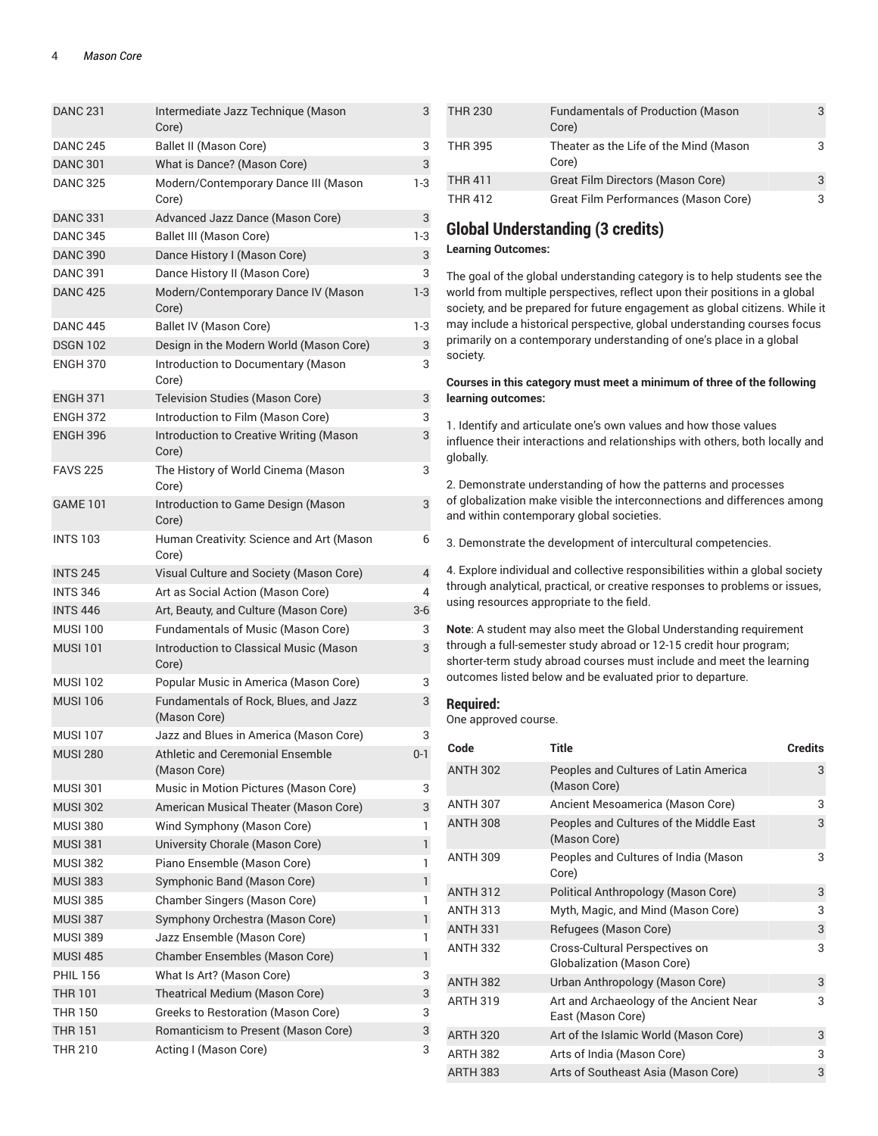| <b>DANC 231</b> | Intermediate Jazz Technique (Mason<br>Core)           | 3              |
|-----------------|-------------------------------------------------------|----------------|
| <b>DANC 245</b> | Ballet II (Mason Core)                                | 3              |
| <b>DANC 301</b> | What is Dance? (Mason Core)                           | 3              |
| <b>DANC 325</b> | Modern/Contemporary Dance III (Mason<br>Core)         | 1-3            |
| <b>DANC 331</b> | Advanced Jazz Dance (Mason Core)                      | 3              |
| <b>DANC 345</b> | Ballet III (Mason Core)                               | 1-3            |
| <b>DANC 390</b> | Dance History I (Mason Core)                          | 3              |
| <b>DANC 391</b> | Dance History II (Mason Core)                         | 3              |
| <b>DANC 425</b> | Modern/Contemporary Dance IV (Mason<br>Core)          | 1-3            |
| <b>DANC 445</b> | Ballet IV (Mason Core)                                | 1-3            |
| <b>DSGN 102</b> | Design in the Modern World (Mason Core)               | 3              |
| <b>ENGH 370</b> | Introduction to Documentary (Mason<br>Core)           | 3              |
| <b>ENGH 371</b> | Television Studies (Mason Core)                       | 3              |
| <b>ENGH 372</b> | Introduction to Film (Mason Core)                     | 3              |
| <b>ENGH 396</b> | Introduction to Creative Writing (Mason<br>Core)      | 3              |
| <b>FAVS 225</b> | The History of World Cinema (Mason<br>Core)           | 3              |
| <b>GAME 101</b> | Introduction to Game Design (Mason<br>Core)           | 3              |
| <b>INTS 103</b> | Human Creativity: Science and Art (Mason<br>Core)     | 6              |
| <b>INTS 245</b> | Visual Culture and Society (Mason Core)               | $\overline{4}$ |
| <b>INTS 346</b> | Art as Social Action (Mason Core)                     | 4              |
| <b>INTS 446</b> | Art, Beauty, and Culture (Mason Core)                 | $3-6$          |
| <b>MUSI 100</b> | <b>Fundamentals of Music (Mason Core)</b>             | 3              |
| <b>MUSI 101</b> | Introduction to Classical Music (Mason<br>Core)       | 3              |
| <b>MUSI 102</b> | Popular Music in America (Mason Core)                 | 3              |
| <b>MUSI 106</b> | Fundamentals of Rock, Blues, and Jazz<br>(Mason Core) | 3              |
| <b>MUSI 107</b> | Jazz and Blues in America (Mason Core)                | 3              |
| <b>MUSI 280</b> | Athletic and Ceremonial Ensemble<br>(Mason Core)      | $0 - 1$        |
| <b>MUSI 301</b> | Music in Motion Pictures (Mason Core)                 | 3              |
| <b>MUSI 302</b> | American Musical Theater (Mason Core)                 | 3              |
| <b>MUSI 380</b> | Wind Symphony (Mason Core)                            | 1              |
| <b>MUSI 381</b> | University Chorale (Mason Core)                       | 1              |
| <b>MUSI 382</b> | Piano Ensemble (Mason Core)                           | 1              |
| <b>MUSI 383</b> | Symphonic Band (Mason Core)                           | 1              |
| <b>MUSI 385</b> | Chamber Singers (Mason Core)                          | 1              |
| <b>MUSI 387</b> | Symphony Orchestra (Mason Core)                       | 1              |
| <b>MUSI 389</b> | Jazz Ensemble (Mason Core)                            | 1              |
| <b>MUSI 485</b> | Chamber Ensembles (Mason Core)                        | 1              |
| <b>PHIL 156</b> | What Is Art? (Mason Core)                             | 3              |
| <b>THR 101</b>  | Theatrical Medium (Mason Core)                        | 3              |
| <b>THR 150</b>  | Greeks to Restoration (Mason Core)                    | 3              |
| <b>THR 151</b>  | Romanticism to Present (Mason Core)                   | 3              |
| <b>THR 210</b>  | Acting I (Mason Core)                                 | 3              |
|                 |                                                       |                |

| <b>THR 230</b> | <b>Fundamentals of Production (Mason</b><br>Core) |  |
|----------------|---------------------------------------------------|--|
| <b>THR 395</b> | Theater as the Life of the Mind (Mason<br>Core)   |  |
| <b>THR 411</b> | Great Film Directors (Mason Core)                 |  |
| <b>THR 412</b> | Great Film Performances (Mason Core)              |  |

### **Global Understanding (3 credits)**

#### **Learning Outcomes:**

The goal of the global understanding category is to help students see the world from multiple perspectives, reflect upon their positions in a global society, and be prepared for future engagement as global citizens. While it may include a historical perspective, global understanding courses focus primarily on a contemporary understanding of one's place in a global society.

#### **Courses in this category must meet a minimum of three of the following learning outcomes:**

1. Identify and articulate one's own values and how those values influence their interactions and relationships with others, both locally and globally.

2. Demonstrate understanding of how the patterns and processes of globalization make visible the interconnections and differences among and within contemporary global societies.

3. Demonstrate the development of intercultural competencies.

4. Explore individual and collective responsibilities within a global society through analytical, practical, or creative responses to problems or issues, using resources appropriate to the field.

**Note**: A student may also meet the Global Understanding requirement through a full-semester study abroad or 12-15 credit hour program; shorter-term study abroad courses must include and meet the learning outcomes listed below and be evaluated prior to departure.

#### **Required:**

One approved course.

| Code            | <b>Title</b>                                                 | <b>Credits</b> |
|-----------------|--------------------------------------------------------------|----------------|
| <b>ANTH 302</b> | Peoples and Cultures of Latin America<br>(Mason Core)        | 3              |
| <b>ANTH 307</b> | Ancient Mesoamerica (Mason Core)                             | 3              |
| <b>ANTH 308</b> | Peoples and Cultures of the Middle East<br>(Mason Core)      | 3              |
| <b>ANTH 309</b> | Peoples and Cultures of India (Mason<br>Core)                | 3              |
| <b>ANTH 312</b> | Political Anthropology (Mason Core)                          | 3              |
| <b>ANTH 313</b> | Myth, Magic, and Mind (Mason Core)                           | 3              |
| <b>ANTH 331</b> | Refugees (Mason Core)                                        | 3              |
| <b>ANTH 332</b> | Cross-Cultural Perspectives on<br>Globalization (Mason Core) | 3              |
| <b>ANTH 382</b> | Urban Anthropology (Mason Core)                              | 3              |
| <b>ARTH 319</b> | Art and Archaeology of the Ancient Near<br>East (Mason Core) | 3              |
| <b>ARTH 320</b> | Art of the Islamic World (Mason Core)                        | 3              |
| <b>ARTH 382</b> | Arts of India (Mason Core)                                   | 3              |
| <b>ARTH 383</b> | Arts of Southeast Asia (Mason Core)                          | 3              |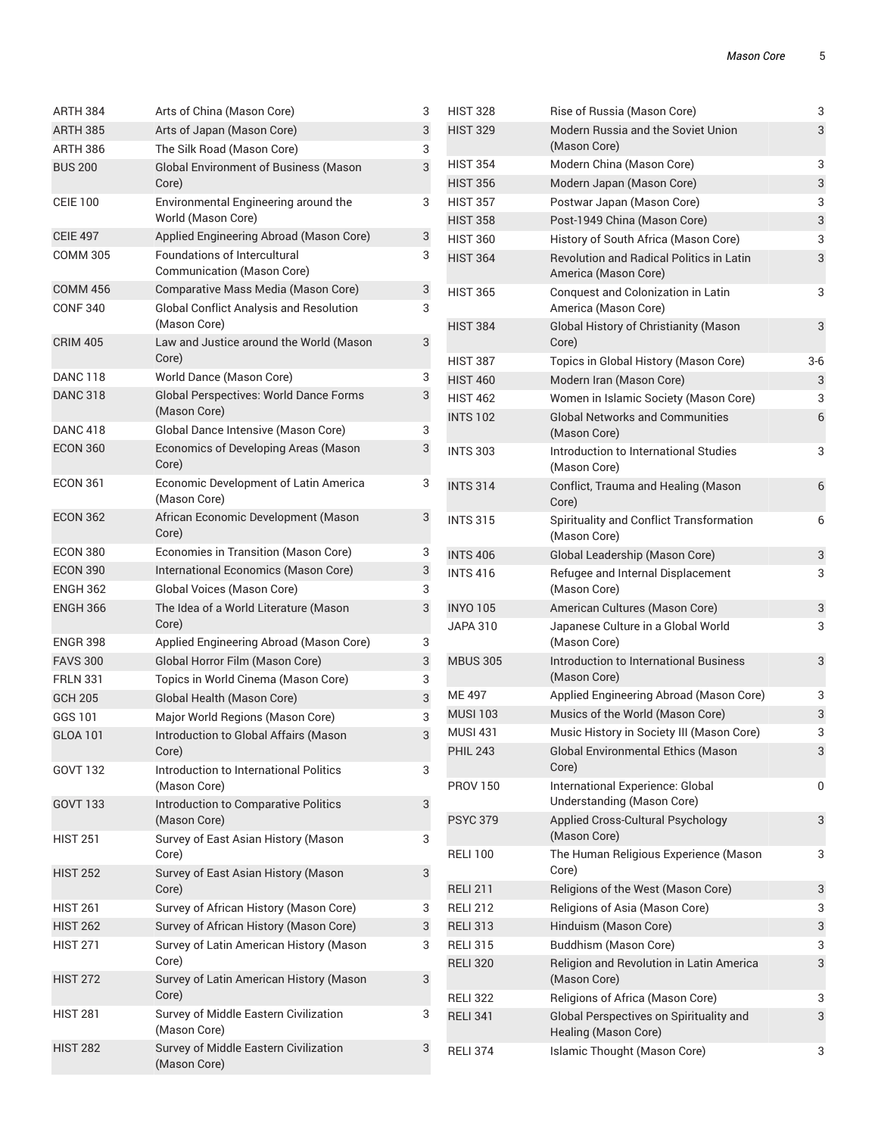3

3

3

3

6

3

6

6

3

3

3

3

 $\overline{\phantom{a}}$ 

3

3

| ARTH 384                          | Arts of China (Mason Core)                                              | 3      | <b>HIST 328</b> | Rise of Russia (Mason Core)                                             | 3              |
|-----------------------------------|-------------------------------------------------------------------------|--------|-----------------|-------------------------------------------------------------------------|----------------|
| <b>ARTH 385</b>                   | Arts of Japan (Mason Core)                                              | 3      | <b>HIST 329</b> | Modern Russia and the Soviet Union                                      | 3              |
| ARTH 386                          | The Silk Road (Mason Core)                                              | 3      |                 | (Mason Core)                                                            |                |
| <b>BUS 200</b>                    | <b>Global Environment of Business (Mason</b>                            | 3      | <b>HIST 354</b> | Modern China (Mason Core)                                               | 3              |
|                                   | Core)                                                                   |        | <b>HIST 356</b> | Modern Japan (Mason Core)                                               | 3              |
| <b>CEIE 100</b>                   | Environmental Engineering around the                                    | 3      | <b>HIST 357</b> | Postwar Japan (Mason Core)                                              | 3              |
| <b>CEIE 497</b>                   | World (Mason Core)                                                      |        | <b>HIST 358</b> | Post-1949 China (Mason Core)                                            | 3              |
| <b>COMM 305</b>                   | Applied Engineering Abroad (Mason Core)<br>Foundations of Intercultural | 3<br>3 | <b>HIST 360</b> | History of South Africa (Mason Core)                                    | 3              |
|                                   | Communication (Mason Core)                                              |        | <b>HIST 364</b> | <b>Revolution and Radical Politics in Latin</b><br>America (Mason Core) | 3              |
| <b>COMM 456</b>                   | Comparative Mass Media (Mason Core)                                     | 3      | <b>HIST 365</b> | Conquest and Colonization in Latin                                      | 3              |
| <b>CONF 340</b>                   | <b>Global Conflict Analysis and Resolution</b><br>(Mason Core)          | 3      | <b>HIST 384</b> | America (Mason Core)<br>Global History of Christianity (Mason           | 3              |
| <b>CRIM 405</b>                   | Law and Justice around the World (Mason<br>Core)                        | 3      | <b>HIST 387</b> | Core)<br>Topics in Global History (Mason Core)                          | $3-6$          |
| <b>DANC 118</b>                   | World Dance (Mason Core)                                                | 3      | <b>HIST 460</b> | Modern Iran (Mason Core)                                                | 3              |
| <b>DANC 318</b>                   | Global Perspectives: World Dance Forms                                  | 3      | <b>HIST 462</b> | Women in Islamic Society (Mason Core)                                   | 3              |
|                                   | (Mason Core)                                                            |        | <b>INTS 102</b> | <b>Global Networks and Communities</b>                                  | $\overline{6}$ |
| <b>DANC 418</b>                   | Global Dance Intensive (Mason Core)                                     | 3      |                 | (Mason Core)                                                            |                |
| <b>ECON 360</b>                   | Economics of Developing Areas (Mason<br>Core)                           | 3      | <b>INTS 303</b> | Introduction to International Studies<br>(Mason Core)                   | 3              |
| <b>ECON 361</b>                   | Economic Development of Latin America<br>(Mason Core)                   | 3      | <b>INTS 314</b> | Conflict, Trauma and Healing (Mason<br>Core)                            | $\epsilon$     |
| <b>ECON 362</b>                   | African Economic Development (Mason<br>Core)                            | 3      | <b>INTS 315</b> | Spirituality and Conflict Transformation<br>(Mason Core)                | 6              |
| <b>ECON 380</b>                   | Economies in Transition (Mason Core)                                    | 3      | <b>INTS 406</b> | Global Leadership (Mason Core)                                          | 3              |
| <b>ECON 390</b>                   | International Economics (Mason Core)                                    | 3      | <b>INTS 416</b> | Refugee and Internal Displacement                                       | 3              |
| <b>ENGH 362</b>                   | Global Voices (Mason Core)                                              | 3      |                 | (Mason Core)                                                            |                |
| <b>ENGH 366</b>                   | The Idea of a World Literature (Mason                                   | 3      | <b>INYO 105</b> | American Cultures (Mason Core)                                          | 3              |
|                                   | Core)                                                                   |        | <b>JAPA 310</b> | Japanese Culture in a Global World                                      | 3              |
| <b>ENGR 398</b>                   | Applied Engineering Abroad (Mason Core)                                 | 3      |                 | (Mason Core)                                                            |                |
| <b>FAVS 300</b>                   | Global Horror Film (Mason Core)                                         | 3      | <b>MBUS 305</b> | Introduction to International Business<br>(Mason Core)                  | 3              |
| <b>FRLN 331</b><br><b>GCH 205</b> | Topics in World Cinema (Mason Core)<br>Global Health (Mason Core)       | 3<br>3 | ME 497          | Applied Engineering Abroad (Mason Core)                                 | 3              |
| GGS 101                           | Major World Regions (Mason Core)                                        | 3      | <b>MUSI 103</b> | Musics of the World (Mason Core)                                        | 3              |
| <b>GLOA 101</b>                   | Introduction to Global Affairs (Mason                                   | 3      | <b>MUSI 431</b> | Music History in Society III (Mason Core)                               | 3              |
|                                   | Core)                                                                   |        | <b>PHIL 243</b> | <b>Global Environmental Ethics (Mason</b>                               | 3              |
| GOVT 132                          | Introduction to International Politics                                  | 3      |                 | Core)                                                                   |                |
| <b>GOVT 133</b>                   | (Mason Core)<br>Introduction to Comparative Politics                    | 3      | <b>PROV 150</b> | International Experience: Global<br>Understanding (Mason Core)          | 0              |
| <b>HIST 251</b>                   | (Mason Core)<br>Survey of East Asian History (Mason                     | 3      | <b>PSYC 379</b> | Applied Cross-Cultural Psychology<br>(Mason Core)                       | 3              |
| <b>HIST 252</b>                   | Core)<br>Survey of East Asian History (Mason                            | 3      | <b>RELI 100</b> | The Human Religious Experience (Mason<br>Core)                          | 3              |
|                                   | Core)                                                                   |        | <b>RELI 211</b> | Religions of the West (Mason Core)                                      | 3              |
| <b>HIST 261</b>                   | Survey of African History (Mason Core)                                  | 3      | <b>RELI 212</b> | Religions of Asia (Mason Core)                                          | 3              |
| <b>HIST 262</b>                   | Survey of African History (Mason Core)                                  | 3      | <b>RELI 313</b> | Hinduism (Mason Core)                                                   | 3              |
| <b>HIST 271</b>                   | Survey of Latin American History (Mason                                 | 3      | <b>RELI 315</b> | <b>Buddhism (Mason Core)</b>                                            | 3              |
| <b>HIST 272</b>                   | Core)<br>Survey of Latin American History (Mason                        | 3      | <b>RELI 320</b> | Religion and Revolution in Latin America<br>(Mason Core)                | 3              |
|                                   | Core)                                                                   |        | <b>RELI 322</b> | Religions of Africa (Mason Core)                                        | 3              |
| <b>HIST 281</b>                   | Survey of Middle Eastern Civilization<br>(Mason Core)                   | 3      | <b>RELI 341</b> | Global Perspectives on Spirituality and<br>Healing (Mason Core)         | 3              |
| <b>HIST 282</b>                   | Survey of Middle Eastern Civilization<br>(Mason Core)                   | 3      | <b>RELI 374</b> | Islamic Thought (Mason Core)                                            | 3              |
|                                   |                                                                         |        |                 |                                                                         |                |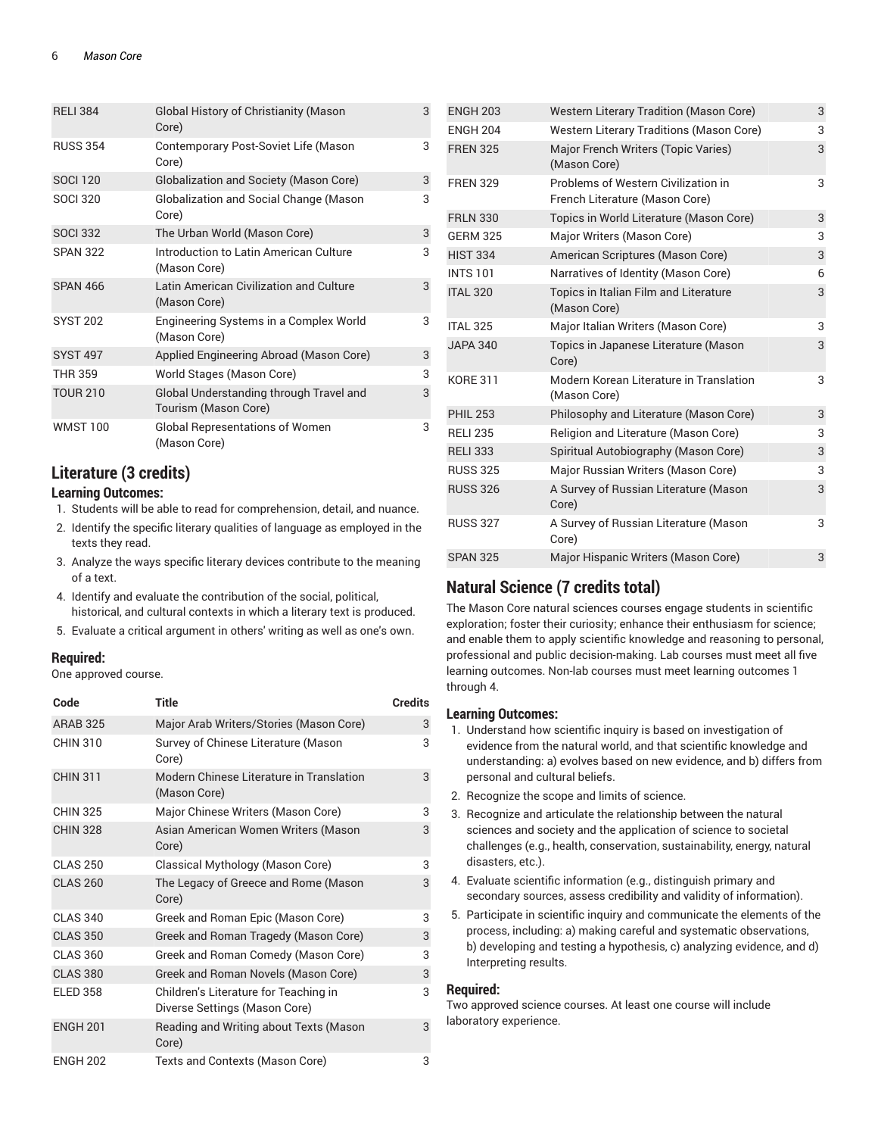| <b>RELI 384</b> | <b>Global History of Christianity (Mason</b><br>Core)           | 3 |
|-----------------|-----------------------------------------------------------------|---|
| <b>RUSS 354</b> | Contemporary Post-Soviet Life (Mason<br>Core)                   | 3 |
| <b>SOCI 120</b> | Globalization and Society (Mason Core)                          | 3 |
| <b>SOCI 320</b> | Globalization and Social Change (Mason<br>Core)                 | 3 |
| <b>SOCI 332</b> | The Urban World (Mason Core)                                    | 3 |
| <b>SPAN 322</b> | Introduction to Latin American Culture<br>(Mason Core)          | 3 |
| <b>SPAN 466</b> | Latin American Civilization and Culture<br>(Mason Core)         | 3 |
| <b>SYST 202</b> | Engineering Systems in a Complex World<br>(Mason Core)          | 3 |
| <b>SYST 497</b> | Applied Engineering Abroad (Mason Core)                         | 3 |
| <b>THR 359</b>  | World Stages (Mason Core)                                       | 3 |
| <b>TOUR 210</b> | Global Understanding through Travel and<br>Tourism (Mason Core) | 3 |
| <b>WMST 100</b> | <b>Global Representations of Women</b><br>(Mason Core)          | 3 |

### **Literature (3 credits)**

### **Learning Outcomes:**

- 1. Students will be able to read for comprehension, detail, and nuance.
- 2. Identify the specific literary qualities of language as employed in the texts they read.
- 3. Analyze the ways specific literary devices contribute to the meaning of a text.
- 4. Identify and evaluate the contribution of the social, political, historical, and cultural contexts in which a literary text is produced.
- 5. Evaluate a critical argument in others' writing as well as one's own.

### **Required:**

One approved course.

| Code            | Title                                                                  | <b>Credits</b> |
|-----------------|------------------------------------------------------------------------|----------------|
| <b>ARAB 325</b> | Major Arab Writers/Stories (Mason Core)                                | 3              |
| <b>CHIN 310</b> | Survey of Chinese Literature (Mason<br>Core)                           | 3              |
| <b>CHIN 311</b> | Modern Chinese Literature in Translation<br>(Mason Core)               | 3              |
| <b>CHIN 325</b> | Major Chinese Writers (Mason Core)                                     | 3              |
| <b>CHIN 328</b> | Asian American Women Writers (Mason<br>Core)                           | 3              |
| <b>CLAS 250</b> | Classical Mythology (Mason Core)                                       | 3              |
| <b>CLAS 260</b> | The Legacy of Greece and Rome (Mason<br>Core)                          | 3              |
| <b>CLAS 340</b> | Greek and Roman Epic (Mason Core)                                      | 3              |
| <b>CLAS 350</b> | Greek and Roman Tragedy (Mason Core)                                   | 3              |
| <b>CLAS 360</b> | Greek and Roman Comedy (Mason Core)                                    | 3              |
| <b>CLAS 380</b> | Greek and Roman Novels (Mason Core)                                    | 3              |
| <b>ELED 358</b> | Children's Literature for Teaching in<br>Diverse Settings (Mason Core) | 3              |
| <b>ENGH 201</b> | Reading and Writing about Texts (Mason<br>Core)                        | 3              |
| <b>ENGH 202</b> | Texts and Contexts (Mason Core)                                        | 3              |

| <b>ENGH 203</b> | <b>Western Literary Tradition (Mason Core)</b>                        | 3 |
|-----------------|-----------------------------------------------------------------------|---|
| <b>ENGH 204</b> | Western Literary Traditions (Mason Core)                              | 3 |
| <b>FREN 325</b> | Major French Writers (Topic Varies)<br>(Mason Core)                   | 3 |
| <b>FREN 329</b> | Problems of Western Civilization in<br>French Literature (Mason Core) | 3 |
| <b>FRLN 330</b> | Topics in World Literature (Mason Core)                               | 3 |
| <b>GERM 325</b> | Major Writers (Mason Core)                                            | 3 |
| <b>HIST 334</b> | American Scriptures (Mason Core)                                      | 3 |
| <b>INTS 101</b> | Narratives of Identity (Mason Core)                                   | 6 |
| <b>ITAL 320</b> | Topics in Italian Film and Literature<br>(Mason Core)                 | 3 |
| <b>ITAL 325</b> | Major Italian Writers (Mason Core)                                    | 3 |
| <b>JAPA 340</b> | Topics in Japanese Literature (Mason<br>Core)                         | 3 |
| <b>KORE 311</b> | Modern Korean Literature in Translation<br>(Mason Core)               | 3 |
| <b>PHIL 253</b> | Philosophy and Literature (Mason Core)                                | 3 |
| <b>RELI 235</b> | Religion and Literature (Mason Core)                                  | 3 |
| <b>RELI 333</b> | Spiritual Autobiography (Mason Core)                                  | 3 |
| <b>RUSS 325</b> | Major Russian Writers (Mason Core)                                    | 3 |
| <b>RUSS 326</b> | A Survey of Russian Literature (Mason<br>Core)                        | 3 |
| <b>RUSS 327</b> | A Survey of Russian Literature (Mason<br>Core)                        | 3 |
| <b>SPAN 325</b> | Major Hispanic Writers (Mason Core)                                   | 3 |

### **Natural Science (7 credits total)**

The Mason Core natural sciences courses engage students in scientific exploration; foster their curiosity; enhance their enthusiasm for science; and enable them to apply scientific knowledge and reasoning to personal, professional and public decision-making. Lab courses must meet all five learning outcomes. Non-lab courses must meet learning outcomes 1 through 4.

### **Learning Outcomes:**

- 1. Understand how scientific inquiry is based on investigation of evidence from the natural world, and that scientific knowledge and understanding: a) evolves based on new evidence, and b) differs from personal and cultural beliefs.
- 2. Recognize the scope and limits of science.
- 3. Recognize and articulate the relationship between the natural sciences and society and the application of science to societal challenges (e.g., health, conservation, sustainability, energy, natural disasters, etc.).
- 4. Evaluate scientific information (e.g., distinguish primary and secondary sources, assess credibility and validity of information).
- 5. Participate in scientific inquiry and communicate the elements of the process, including: a) making careful and systematic observations, b) developing and testing a hypothesis, c) analyzing evidence, and d) Interpreting results.

### **Required:**

Two approved science courses. At least one course will include laboratory experience.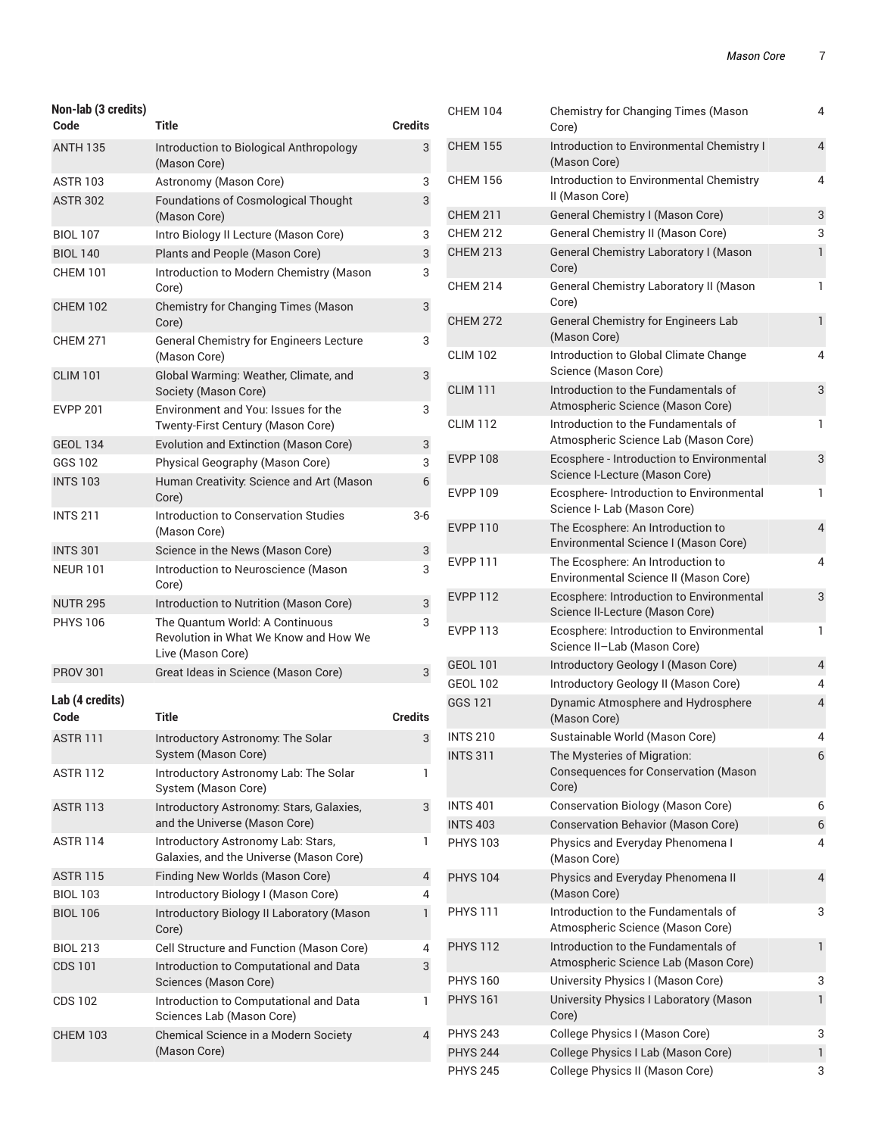| Non-lab (3 credits)<br>Code | Title                                                                                         | <b>Credits</b> |
|-----------------------------|-----------------------------------------------------------------------------------------------|----------------|
| <b>ANTH 135</b>             | Introduction to Biological Anthropology                                                       | 3              |
|                             | (Mason Core)                                                                                  |                |
| <b>ASTR 103</b>             | Astronomy (Mason Core)                                                                        | 3              |
| <b>ASTR 302</b>             | <b>Foundations of Cosmological Thought</b><br>(Mason Core)                                    | 3              |
| <b>BIOL 107</b>             | Intro Biology II Lecture (Mason Core)                                                         | 3              |
| <b>BIOL 140</b>             | Plants and People (Mason Core)                                                                | 3              |
| <b>CHEM 101</b>             | Introduction to Modern Chemistry (Mason<br>Core)                                              | 3              |
| <b>CHEM 102</b>             | Chemistry for Changing Times (Mason<br>Core)                                                  | 3              |
| CHEM 271                    | General Chemistry for Engineers Lecture<br>(Mason Core)                                       | 3              |
| <b>CLIM 101</b>             | Global Warming: Weather, Climate, and<br>Society (Mason Core)                                 | 3              |
| <b>EVPP 201</b>             | Environment and You: Issues for the<br>Twenty-First Century (Mason Core)                      | 3              |
| <b>GEOL 134</b>             | Evolution and Extinction (Mason Core)                                                         | 3              |
| GGS 102                     | Physical Geography (Mason Core)                                                               | 3              |
| <b>INTS 103</b>             | Human Creativity: Science and Art (Mason<br>Core)                                             | 6              |
| <b>INTS 211</b>             | Introduction to Conservation Studies<br>(Mason Core)                                          | 3-6            |
| <b>INTS 301</b>             | Science in the News (Mason Core)                                                              | 3              |
| <b>NEUR 101</b>             | Introduction to Neuroscience (Mason<br>Core)                                                  | 3              |
| <b>NUTR 295</b>             | Introduction to Nutrition (Mason Core)                                                        | 3              |
| <b>PHYS 106</b>             | The Quantum World: A Continuous<br>Revolution in What We Know and How We<br>Live (Mason Core) | 3              |
| <b>PROV 301</b>             | Great Ideas in Science (Mason Core)                                                           | 3              |
| Lab (4 credits)             | Title                                                                                         |                |
| Code                        |                                                                                               | <b>Credits</b> |
| <b>ASTR 111</b>             | Introductory Astronomy: The Solar<br>System (Mason Core)                                      | 3              |
| ASTR 112                    | Introductory Astronomy Lab: The Solar<br>System (Mason Core)                                  | 1              |
| <b>ASTR 113</b>             | Introductory Astronomy: Stars, Galaxies,<br>and the Universe (Mason Core)                     | 3              |
| <b>ASTR 114</b>             | Introductory Astronomy Lab: Stars,<br>Galaxies, and the Universe (Mason Core)                 | 1              |
| <b>ASTR 115</b>             | Finding New Worlds (Mason Core)                                                               | 4              |
| <b>BIOL 103</b>             | Introductory Biology I (Mason Core)                                                           | 4              |
| <b>BIOL 106</b>             | Introductory Biology II Laboratory (Mason<br>Core)                                            | 1              |
| <b>BIOL 213</b>             | Cell Structure and Function (Mason Core)                                                      | 4              |
| CDS 101                     | Introduction to Computational and Data<br>Sciences (Mason Core)                               | 3              |
| CDS 102                     | Introduction to Computational and Data<br>Sciences Lab (Mason Core)                           | 1              |
| <b>CHEM 103</b>             | Chemical Science in a Modern Society<br>(Mason Core)                                          | 4              |

| <b>CHEM 104</b> | Chemistry for Changing Times (Mason<br>Core)                                 | 4                        |
|-----------------|------------------------------------------------------------------------------|--------------------------|
| <b>CHEM 155</b> | Introduction to Environmental Chemistry I<br>(Mason Core)                    | $\overline{4}$           |
| <b>CHEM 156</b> | Introduction to Environmental Chemistry<br>II (Mason Core)                   | 4                        |
| <b>CHEM 211</b> | General Chemistry I (Mason Core)                                             | 3                        |
| <b>CHEM 212</b> | General Chemistry II (Mason Core)                                            | 3                        |
| <b>CHEM 213</b> | General Chemistry Laboratory I (Mason<br>Core)                               | $\mathbf{1}$             |
| <b>CHEM 214</b> | General Chemistry Laboratory II (Mason<br>Core)                              | 1                        |
| <b>CHEM 272</b> | General Chemistry for Engineers Lab<br>(Mason Core)                          | $\mathbf{1}$             |
| <b>CLIM 102</b> | Introduction to Global Climate Change<br>Science (Mason Core)                | 4                        |
| <b>CLIM 111</b> | Introduction to the Fundamentals of<br>Atmospheric Science (Mason Core)      | 3                        |
| <b>CLIM 112</b> | Introduction to the Fundamentals of<br>Atmospheric Science Lab (Mason Core)  | 1                        |
| <b>EVPP 108</b> | Ecosphere - Introduction to Environmental<br>Science I-Lecture (Mason Core)  | 3                        |
| <b>EVPP 109</b> | Ecosphere-Introduction to Environmental<br>Science I- Lab (Mason Core)       | 1                        |
| <b>EVPP 110</b> | The Ecosphere: An Introduction to<br>Environmental Science I (Mason Core)    | 4                        |
| <b>EVPP 111</b> | The Ecosphere: An Introduction to<br>Environmental Science II (Mason Core)   | 4                        |
| <b>EVPP 112</b> | Ecosphere: Introduction to Environmental<br>Science II-Lecture (Mason Core)  | 3                        |
| <b>EVPP 113</b> | Ecosphere: Introduction to Environmental<br>Science II-Lab (Mason Core)      | 1                        |
| <b>GEOL 101</b> | Introductory Geology I (Mason Core)                                          | 4                        |
| <b>GEOL 102</b> | Introductory Geology II (Mason Core)                                         | 4                        |
| GGS 121         | Dynamic Atmosphere and Hydrosphere<br>(Mason Core)                           | $\overline{\mathcal{L}}$ |
| <b>INTS 210</b> | Sustainable World (Mason Core)                                               | 4                        |
| <b>INTS 311</b> | The Mysteries of Migration:<br>Consequences for Conservation (Mason<br>Core) | 6                        |
| <b>INTS 401</b> | Conservation Biology (Mason Core)                                            | 6                        |
| <b>INTS 403</b> | Conservation Behavior (Mason Core)                                           | 6                        |
| <b>PHYS 103</b> | Physics and Everyday Phenomena I<br>(Mason Core)                             | 4                        |
| <b>PHYS 104</b> | Physics and Everyday Phenomena II<br>(Mason Core)                            | 4                        |
| <b>PHYS 111</b> | Introduction to the Fundamentals of<br>Atmospheric Science (Mason Core)      | 3                        |
| <b>PHYS 112</b> | Introduction to the Fundamentals of<br>Atmospheric Science Lab (Mason Core)  | $\mathbf{1}$             |
| <b>PHYS 160</b> | University Physics I (Mason Core)                                            | 3                        |
| <b>PHYS 161</b> | University Physics I Laboratory (Mason<br>Core)                              | $\mathbf{1}$             |
| <b>PHYS 243</b> | College Physics I (Mason Core)                                               | 3                        |
| <b>PHYS 244</b> | College Physics I Lab (Mason Core)                                           | $\mathbf{1}$             |
| <b>PHYS 245</b> | College Physics II (Mason Core)                                              | 3                        |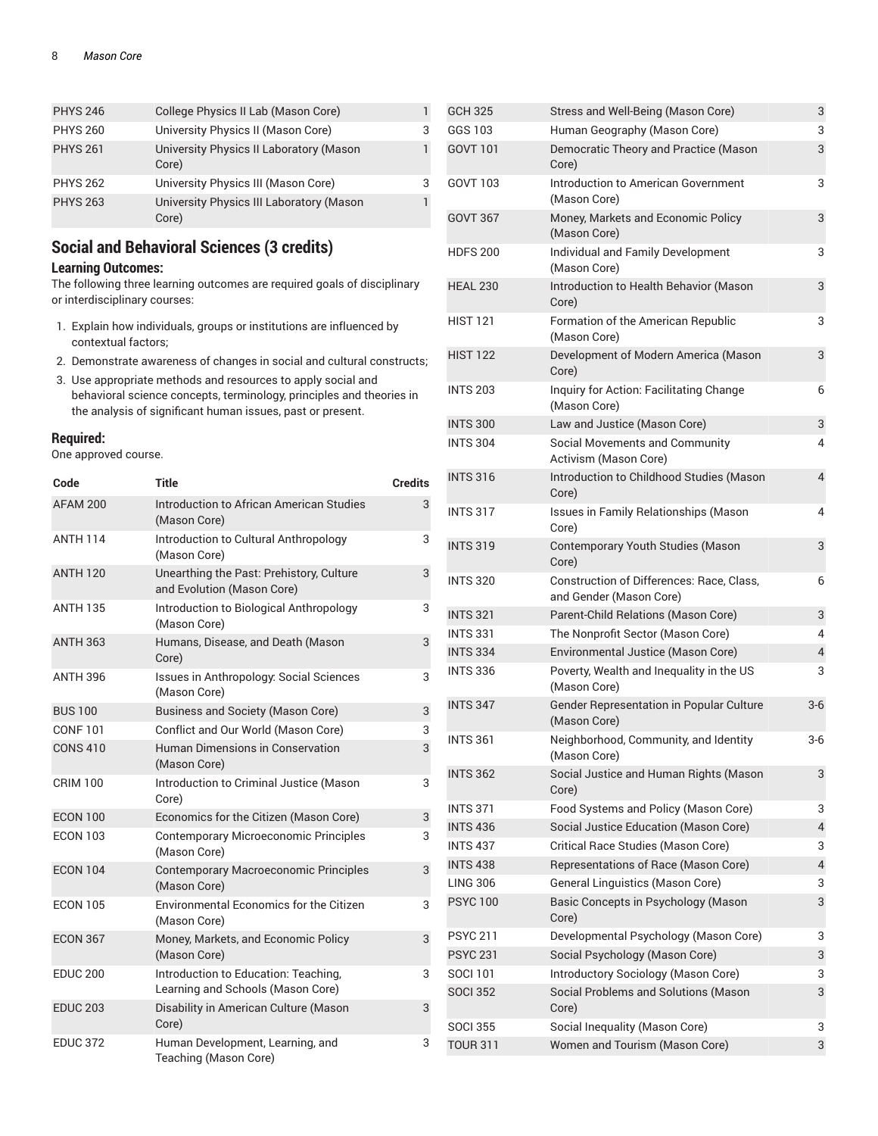| <b>PHYS 246</b> | College Physics II Lab (Mason Core)               |   |
|-----------------|---------------------------------------------------|---|
| <b>PHYS 260</b> | University Physics II (Mason Core)                | 3 |
| <b>PHYS 261</b> | University Physics II Laboratory (Mason<br>Core)  | 1 |
| <b>PHYS 262</b> | University Physics III (Mason Core)               | 3 |
| <b>PHYS 263</b> | University Physics III Laboratory (Mason<br>Core) | ı |

### **Social and Behavioral Sciences (3 credits)**

### **Learning Outcomes:**

The following three learning outcomes are required goals of disciplinary or interdisciplinary courses:

- 1. Explain how individuals, groups or institutions are influenced by contextual factors;
- 2. Demonstrate awareness of changes in social and cultural constructs;
- 3. Use appropriate methods and resources to apply social and behavioral science concepts, terminology, principles and theories in the analysis of significant human issues, past or present.

### **Required:**

One approved course.

| Code            | Title                                                                     | <b>Credits</b> |
|-----------------|---------------------------------------------------------------------------|----------------|
| AFAM 200        | <b>Introduction to African American Studies</b><br>(Mason Core)           | 3              |
| <b>ANTH 114</b> | Introduction to Cultural Anthropology<br>(Mason Core)                     | 3              |
| <b>ANTH 120</b> | Unearthing the Past: Prehistory, Culture<br>and Evolution (Mason Core)    | 3              |
| <b>ANTH 135</b> | Introduction to Biological Anthropology<br>(Mason Core)                   | 3              |
| <b>ANTH 363</b> | Humans, Disease, and Death (Mason<br>Core)                                | 3              |
| <b>ANTH 396</b> | Issues in Anthropology: Social Sciences<br>(Mason Core)                   | 3              |
| <b>BUS 100</b>  | <b>Business and Society (Mason Core)</b>                                  | 3              |
| <b>CONF101</b>  | Conflict and Our World (Mason Core)                                       | 3              |
| <b>CONS 410</b> | Human Dimensions in Conservation<br>(Mason Core)                          | 3              |
| <b>CRIM 100</b> | Introduction to Criminal Justice (Mason<br>Core)                          | 3              |
| <b>ECON 100</b> | Economics for the Citizen (Mason Core)                                    | 3              |
| <b>ECON 103</b> | <b>Contemporary Microeconomic Principles</b><br>(Mason Core)              | 3              |
| <b>ECON 104</b> | <b>Contemporary Macroeconomic Principles</b><br>(Mason Core)              | 3              |
| <b>ECON 105</b> | <b>Environmental Economics for the Citizen</b><br>(Mason Core)            | 3              |
| <b>ECON 367</b> | Money, Markets, and Economic Policy<br>(Mason Core)                       | 3              |
| <b>EDUC 200</b> | Introduction to Education: Teaching,<br>Learning and Schools (Mason Core) | 3              |
| <b>EDUC 203</b> | Disability in American Culture (Mason<br>Core)                            | 3              |
| <b>EDUC 372</b> | Human Development, Learning, and<br>Teaching (Mason Core)                 | 3              |

| <b>GCH 325</b>  | Stress and Well-Being (Mason Core)                                   | 3     |
|-----------------|----------------------------------------------------------------------|-------|
| GGS 103         | Human Geography (Mason Core)                                         | 3     |
| <b>GOVT 101</b> | Democratic Theory and Practice (Mason<br>Core)                       | 3     |
| GOVT 103        | Introduction to American Government<br>(Mason Core)                  | 3     |
| <b>GOVT 367</b> | Money, Markets and Economic Policy<br>(Mason Core)                   | 3     |
| <b>HDFS 200</b> | Individual and Family Development<br>(Mason Core)                    | 3     |
| <b>HEAL 230</b> | Introduction to Health Behavior (Mason<br>Core)                      | 3     |
| <b>HIST 121</b> | Formation of the American Republic<br>(Mason Core)                   | 3     |
| <b>HIST 122</b> | Development of Modern America (Mason<br>Core)                        | 3     |
| <b>INTS 203</b> | Inquiry for Action: Facilitating Change<br>(Mason Core)              | 6     |
| <b>INTS 300</b> | Law and Justice (Mason Core)                                         | 3     |
| <b>INTS 304</b> | <b>Social Movements and Community</b><br>Activism (Mason Core)       | 4     |
| <b>INTS 316</b> | Introduction to Childhood Studies (Mason<br>Core)                    | 4     |
| <b>INTS 317</b> | Issues in Family Relationships (Mason<br>Core)                       | 4     |
| <b>INTS 319</b> | Contemporary Youth Studies (Mason<br>Core)                           | 3     |
| <b>INTS 320</b> | Construction of Differences: Race, Class,<br>and Gender (Mason Core) | 6     |
| <b>INTS 321</b> | Parent-Child Relations (Mason Core)                                  | 3     |
| <b>INTS 331</b> | The Nonprofit Sector (Mason Core)                                    | 4     |
| <b>INTS 334</b> | Environmental Justice (Mason Core)                                   | 4     |
| <b>INTS 336</b> | Poverty, Wealth and Inequality in the US<br>(Mason Core)             | 3     |
| <b>INTS 347</b> | Gender Representation in Popular Culture<br>(Mason Core)             | $3-6$ |
| <b>INTS 361</b> | Neighborhood, Community, and Identity<br>(Mason Core)                | $3-6$ |
| <b>INTS 362</b> | Social Justice and Human Rights (Mason<br>Core)                      | 3     |
| <b>INTS 371</b> | Food Systems and Policy (Mason Core)                                 | 3     |
| <b>INTS 436</b> | Social Justice Education (Mason Core)                                | 4     |
| <b>INTS 437</b> | Critical Race Studies (Mason Core)                                   | 3     |
| <b>INTS 438</b> | Representations of Race (Mason Core)                                 | 4     |
| <b>LING 306</b> | General Linguistics (Mason Core)                                     | 3     |
| <b>PSYC100</b>  | Basic Concepts in Psychology (Mason<br>Core)                         | 3     |
| <b>PSYC 211</b> | Developmental Psychology (Mason Core)                                | 3     |
| <b>PSYC 231</b> | Social Psychology (Mason Core)                                       | 3     |
| <b>SOCI 101</b> | Introductory Sociology (Mason Core)                                  | 3     |
| <b>SOCI 352</b> | Social Problems and Solutions (Mason<br>Core)                        | 3     |
| <b>SOCI 355</b> | Social Inequality (Mason Core)                                       | 3     |
| <b>TOUR 311</b> | Women and Tourism (Mason Core)                                       | 3     |
|                 |                                                                      |       |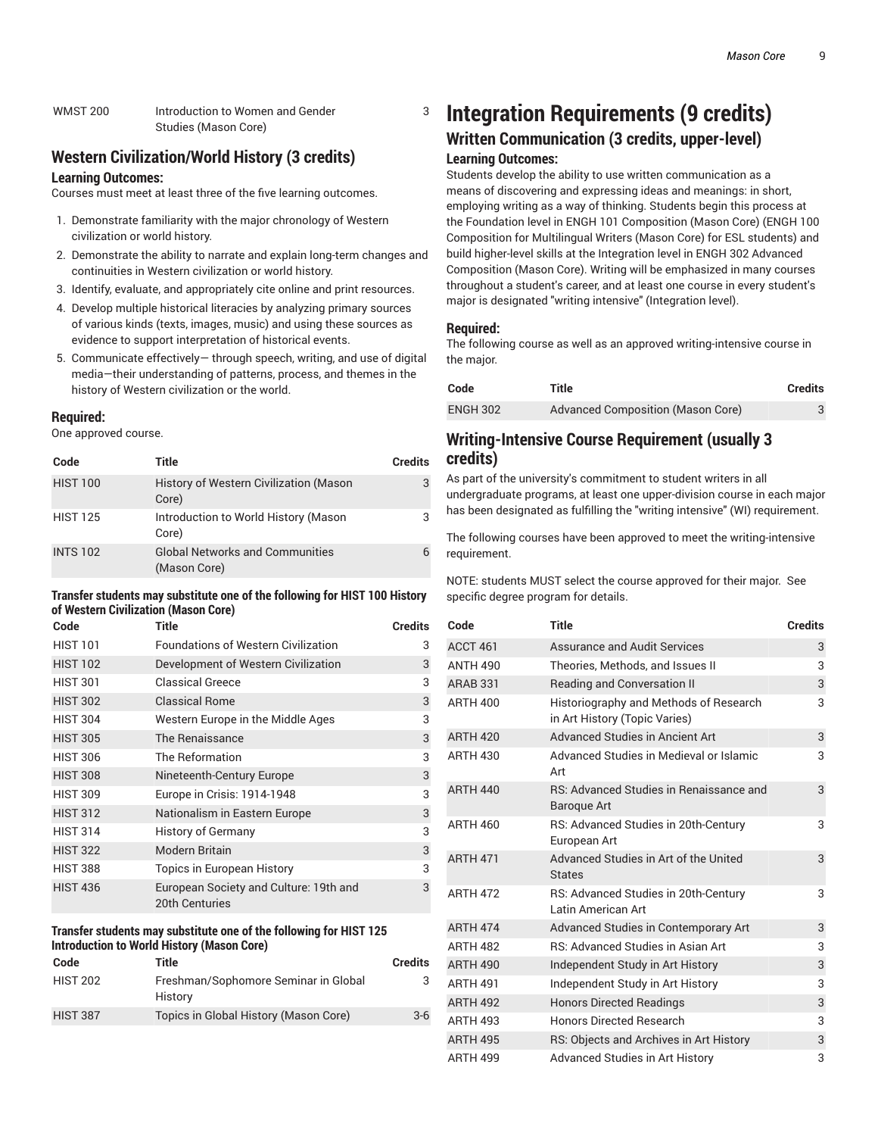### **Western Civilization/World History (3 credits)**

#### **Learning Outcomes:**

Courses must meet at least three of the five learning outcomes.

- 1. Demonstrate familiarity with the major chronology of Western civilization or world history.
- 2. Demonstrate the ability to narrate and explain long-term changes and continuities in Western civilization or world history.
- 3. Identify, evaluate, and appropriately cite online and print resources.
- 4. Develop multiple historical literacies by analyzing primary sources of various kinds (texts, images, music) and using these sources as evidence to support interpretation of historical events.
- 5. Communicate effectively— through speech, writing, and use of digital media—their understanding of patterns, process, and themes in the history of Western civilization or the world.

#### **Required:**

One approved course.

| Code            | Title                                                  | <b>Credits</b> |
|-----------------|--------------------------------------------------------|----------------|
| <b>HIST 100</b> | History of Western Civilization (Mason<br>Core)        | 3              |
| <b>HIST 125</b> | Introduction to World History (Mason<br>Core)          | 3              |
| <b>INTS 102</b> | <b>Global Networks and Communities</b><br>(Mason Core) |                |

#### **Transfer students may substitute one of the following for HIST 100 History of Western Civilization (Mason Core)**

| Code            | <b>Title</b>                                                    | <b>Credits</b> |
|-----------------|-----------------------------------------------------------------|----------------|
| <b>HIST 101</b> | <b>Foundations of Western Civilization</b>                      | 3              |
| <b>HIST 102</b> | Development of Western Civilization                             | 3              |
| <b>HIST 301</b> | <b>Classical Greece</b>                                         | 3              |
| <b>HIST 302</b> | <b>Classical Rome</b>                                           | 3              |
| <b>HIST 304</b> | Western Europe in the Middle Ages                               | 3              |
| <b>HIST 305</b> | The Renaissance                                                 | 3              |
| <b>HIST 306</b> | The Reformation                                                 | 3              |
| <b>HIST 308</b> | Nineteenth-Century Europe                                       | 3              |
| <b>HIST 309</b> | Europe in Crisis: 1914-1948                                     | 3              |
| <b>HIST 312</b> | Nationalism in Eastern Europe                                   | 3              |
| <b>HIST 314</b> | <b>History of Germany</b>                                       | 3              |
| <b>HIST 322</b> | <b>Modern Britain</b>                                           | 3              |
| <b>HIST 388</b> | <b>Topics in European History</b>                               | 3              |
| <b>HIST 436</b> | European Society and Culture: 19th and<br><b>20th Centuries</b> | 3              |

#### **Transfer students may substitute one of the following for HIST 125 Introduction to World History (Mason Core)**

| Code            | Title                                           | <b>Credits</b> |
|-----------------|-------------------------------------------------|----------------|
| <b>HIST 202</b> | Freshman/Sophomore Seminar in Global<br>History | 3              |
| <b>HIST 387</b> | Topics in Global History (Mason Core)           | $3-6$          |

#### 3 **Integration Requirements (9 credits)**

### **Written Communication (3 credits, upper-level)**

#### **Learning Outcomes:**

Students develop the ability to use written communication as a means of discovering and expressing ideas and meanings: in short, employing writing as a way of thinking. Students begin this process at the Foundation level in ENGH 101 Composition (Mason Core) (ENGH 100 Composition for Multilingual Writers (Mason Core) for ESL students) and build higher-level skills at the Integration level in ENGH 302 Advanced Composition (Mason Core). Writing will be emphasized in many courses throughout a student's career, and at least one course in every student's major is designated "writing intensive" (Integration level).

### **Required:**

The following course as well as an approved writing-intensive course in the major.

| Code            | Title                                    | <b>Credits</b> |
|-----------------|------------------------------------------|----------------|
| <b>ENGH 302</b> | <b>Advanced Composition (Mason Core)</b> |                |

### **Writing-Intensive Course Requirement (usually 3 credits)**

As part of the university's commitment to student writers in all undergraduate programs, at least one upper-division course in each major has been designated as fulfilling the "writing intensive" (WI) requirement.

The following courses have been approved to meet the writing-intensive requirement.

NOTE: students MUST select the course approved for their major. See specific degree program for details.

| Code            | Title                                                                   | <b>Credits</b> |
|-----------------|-------------------------------------------------------------------------|----------------|
| ACCT 461        | <b>Assurance and Audit Services</b>                                     | 3              |
| <b>ANTH 490</b> | Theories, Methods, and Issues II                                        | 3              |
| <b>ARAB 331</b> | <b>Reading and Conversation II</b>                                      | 3              |
| <b>ARTH 400</b> | Historiography and Methods of Research<br>in Art History (Topic Varies) | 3              |
| <b>ARTH 420</b> | Advanced Studies in Ancient Art                                         | 3              |
| <b>ARTH 430</b> | Advanced Studies in Medieval or Islamic<br>Art                          | 3              |
| <b>ARTH 440</b> | RS: Advanced Studies in Renaissance and<br><b>Baroque Art</b>           | 3              |
| <b>ARTH 460</b> | RS: Advanced Studies in 20th-Century<br>European Art                    | 3              |
| <b>ARTH 471</b> | Advanced Studies in Art of the United<br><b>States</b>                  | 3              |
| <b>ARTH 472</b> | RS: Advanced Studies in 20th-Century<br>Latin American Art              | 3              |
| <b>ARTH 474</b> | Advanced Studies in Contemporary Art                                    | 3              |
| <b>ARTH 482</b> | RS: Advanced Studies in Asian Art                                       | 3              |
| <b>ARTH 490</b> | Independent Study in Art History                                        | 3              |
| <b>ARTH 491</b> | Independent Study in Art History                                        | 3              |
| <b>ARTH 492</b> | <b>Honors Directed Readings</b>                                         | 3              |
| <b>ARTH 493</b> | <b>Honors Directed Research</b>                                         | 3              |
| <b>ARTH 495</b> | RS: Objects and Archives in Art History                                 | 3              |
| <b>ARTH 499</b> | <b>Advanced Studies in Art History</b>                                  | 3              |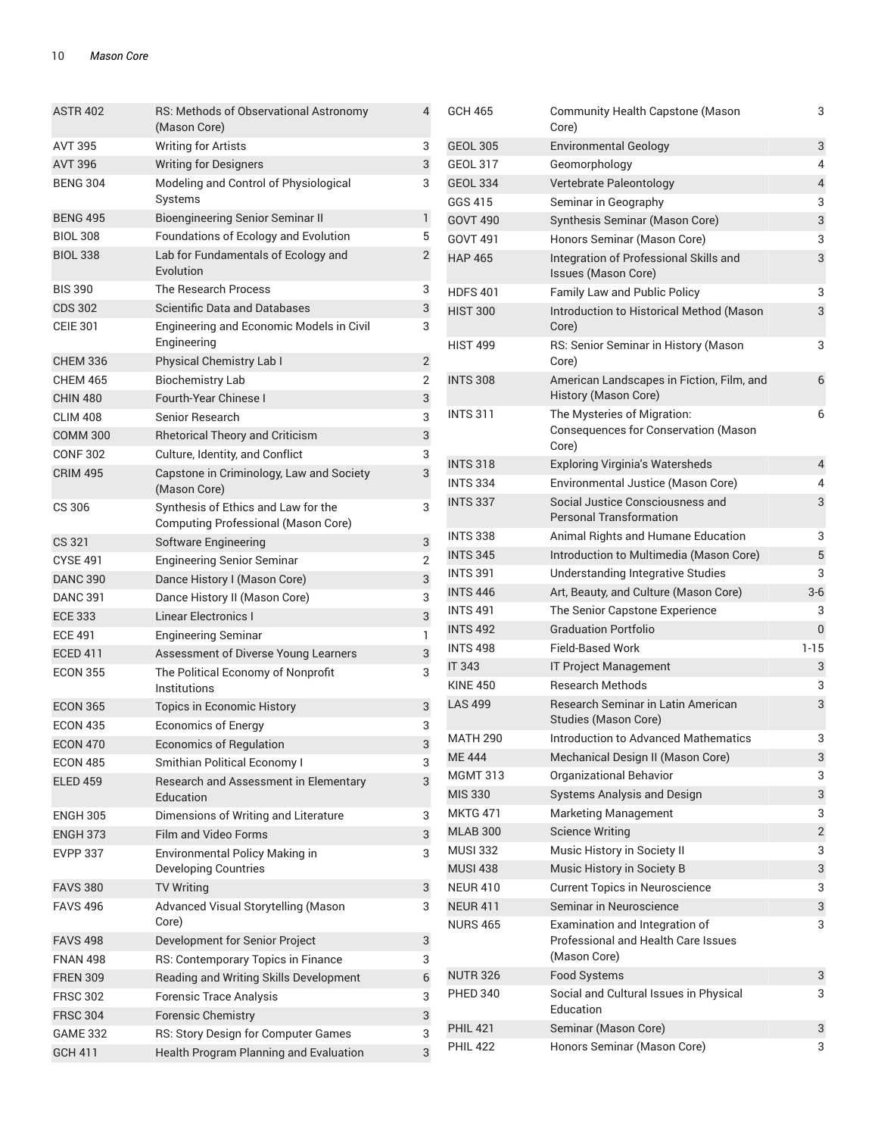| <b>ASTR 402</b> | RS: Methods of Observational Astronomy<br>(Mason Core)                     | 4              |
|-----------------|----------------------------------------------------------------------------|----------------|
| <b>AVT 395</b>  | <b>Writing for Artists</b>                                                 | 3              |
| <b>AVT 396</b>  | <b>Writing for Designers</b>                                               | 3              |
| <b>BENG 304</b> | Modeling and Control of Physiological<br>Systems                           | 3              |
| <b>BENG 495</b> | Bioengineering Senior Seminar II                                           | 1              |
| <b>BIOL 308</b> | Foundations of Ecology and Evolution                                       | 5              |
| <b>BIOL 338</b> | Lab for Fundamentals of Ecology and<br>Evolution                           | $\overline{2}$ |
| <b>BIS 390</b>  | The Research Process                                                       | 3              |
| <b>CDS 302</b>  | Scientific Data and Databases                                              | 3              |
| <b>CEIE 301</b> | Engineering and Economic Models in Civil<br>Engineering                    | 3              |
| <b>CHEM 336</b> | Physical Chemistry Lab I                                                   | $\overline{c}$ |
| <b>CHEM 465</b> | <b>Biochemistry Lab</b>                                                    | $\overline{2}$ |
| <b>CHIN 480</b> | Fourth-Year Chinese I                                                      | 3              |
| <b>CLIM 408</b> | Senior Research                                                            | 3              |
| <b>COMM 300</b> | <b>Rhetorical Theory and Criticism</b>                                     | 3              |
| <b>CONF 302</b> | Culture, Identity, and Conflict                                            | 3              |
| <b>CRIM 495</b> | Capstone in Criminology, Law and Society<br>(Mason Core)                   | 3              |
| CS 306          | Synthesis of Ethics and Law for the<br>Computing Professional (Mason Core) | 3              |
| CS 321          | Software Engineering                                                       | 3              |
| <b>CYSE 491</b> | <b>Engineering Senior Seminar</b>                                          | 2              |
| <b>DANC 390</b> | Dance History I (Mason Core)                                               | 3              |
| <b>DANC 391</b> | Dance History II (Mason Core)                                              | 3              |
| <b>ECE 333</b>  | <b>Linear Electronics I</b>                                                | 3              |
| <b>ECE 491</b>  | <b>Engineering Seminar</b>                                                 | 1              |
| <b>ECED 411</b> | Assessment of Diverse Young Learners                                       | 3              |
| <b>ECON 355</b> | The Political Economy of Nonprofit<br>Institutions                         | 3              |
| <b>ECON 365</b> | Topics in Economic History                                                 | 3              |
| <b>ECON 435</b> | <b>Economics of Energy</b>                                                 | 3              |
| <b>ECON 470</b> | <b>Economics of Regulation</b>                                             | 3              |
| ECON 485        | Smithian Political Economy I                                               | 3              |
| <b>ELED 459</b> | Research and Assessment in Elementary<br>Education                         | 3              |
| <b>ENGH 305</b> | Dimensions of Writing and Literature                                       | 3              |
| <b>ENGH 373</b> | <b>Film and Video Forms</b>                                                | 3              |
| <b>EVPP 337</b> | Environmental Policy Making in<br><b>Developing Countries</b>              | 3              |
| <b>FAVS 380</b> | <b>TV Writing</b>                                                          | 3              |
| <b>FAVS 496</b> | Advanced Visual Storytelling (Mason<br>Core)                               | 3              |
| <b>FAVS 498</b> | Development for Senior Project                                             | 3              |
| <b>FNAN 498</b> | RS: Contemporary Topics in Finance                                         | 3              |
| <b>FREN 309</b> | Reading and Writing Skills Development                                     | 6              |
| <b>FRSC 302</b> | <b>Forensic Trace Analysis</b>                                             | 3              |
| <b>FRSC 304</b> | <b>Forensic Chemistry</b>                                                  | 3              |
| <b>GAME 332</b> | RS: Story Design for Computer Games                                        | 3              |
| <b>GCH 411</b>  | Health Program Planning and Evaluation                                     | 3              |

| GCH 465         | <b>Community Health Capstone (Mason</b><br>Core)                                      | 3                       |
|-----------------|---------------------------------------------------------------------------------------|-------------------------|
| <b>GEOL 305</b> | <b>Environmental Geology</b>                                                          | 3                       |
| <b>GEOL 317</b> | Geomorphology                                                                         | 4                       |
| <b>GEOL 334</b> | Vertebrate Paleontology                                                               | $\overline{\mathbf{4}}$ |
| GGS 415         | Seminar in Geography                                                                  | 3                       |
| <b>GOVT 490</b> | Synthesis Seminar (Mason Core)                                                        | 3                       |
| GOVT 491        | Honors Seminar (Mason Core)                                                           | 3                       |
| <b>HAP 465</b>  | Integration of Professional Skills and<br>Issues (Mason Core)                         | 3                       |
| <b>HDFS401</b>  | Family Law and Public Policy                                                          | 3                       |
| <b>HIST 300</b> | Introduction to Historical Method (Mason<br>Core)                                     | 3                       |
| <b>HIST 499</b> | RS: Senior Seminar in History (Mason<br>Core)                                         | 3                       |
| <b>INTS 308</b> | American Landscapes in Fiction, Film, and<br>History (Mason Core)                     | 6                       |
| <b>INTS 311</b> | The Mysteries of Migration:<br>Consequences for Conservation (Mason<br>Core)          | 6                       |
| <b>INTS 318</b> | <b>Exploring Virginia's Watersheds</b>                                                | 4                       |
| <b>INTS 334</b> | Environmental Justice (Mason Core)                                                    | 4                       |
| <b>INTS 337</b> | Social Justice Consciousness and<br><b>Personal Transformation</b>                    | 3                       |
| <b>INTS 338</b> | Animal Rights and Humane Education                                                    | 3                       |
| <b>INTS 345</b> | Introduction to Multimedia (Mason Core)                                               | 5                       |
| <b>INTS 391</b> | Understanding Integrative Studies                                                     | 3                       |
| <b>INTS 446</b> | Art, Beauty, and Culture (Mason Core)                                                 | $3-6$                   |
| <b>INTS 491</b> | The Senior Capstone Experience                                                        | 3                       |
| <b>INTS 492</b> | <b>Graduation Portfolio</b>                                                           | 0                       |
| <b>INTS 498</b> | <b>Field-Based Work</b>                                                               | $1 - 15$                |
| <b>IT 343</b>   | <b>IT Project Management</b>                                                          | 3                       |
| <b>KINF 450</b> | <b>Research Methods</b>                                                               | 3                       |
| <b>LAS 499</b>  | Research Seminar in Latin American<br>Studies (Mason Core)                            | 3                       |
| <b>MATH 290</b> | Introduction to Advanced Mathematics                                                  | 3                       |
| <b>ME444</b>    | Mechanical Design II (Mason Core)                                                     | 3                       |
| <b>MGMT 313</b> | <b>Organizational Behavior</b>                                                        | 3                       |
| <b>MIS 330</b>  | <b>Systems Analysis and Design</b>                                                    | 3                       |
| <b>MKTG 471</b> | <b>Marketing Management</b>                                                           | 3                       |
| <b>MLAB 300</b> | <b>Science Writing</b>                                                                | $\overline{c}$          |
| <b>MUSI 332</b> | Music History in Society II                                                           | 3                       |
| <b>MUSI 438</b> | Music History in Society B                                                            | 3                       |
| <b>NEUR 410</b> | <b>Current Topics in Neuroscience</b>                                                 | 3                       |
| <b>NEUR 411</b> | Seminar in Neuroscience                                                               | 3                       |
| <b>NURS 465</b> | Examination and Integration of<br>Professional and Health Care Issues<br>(Mason Core) | 3                       |
| <b>NUTR 326</b> | <b>Food Systems</b>                                                                   | 3                       |
| <b>PHED 340</b> | Social and Cultural Issues in Physical<br>Education                                   | 3                       |
| <b>PHIL 421</b> | Seminar (Mason Core)                                                                  | 3                       |
| <b>PHIL 422</b> | Honors Seminar (Mason Core)                                                           | 3                       |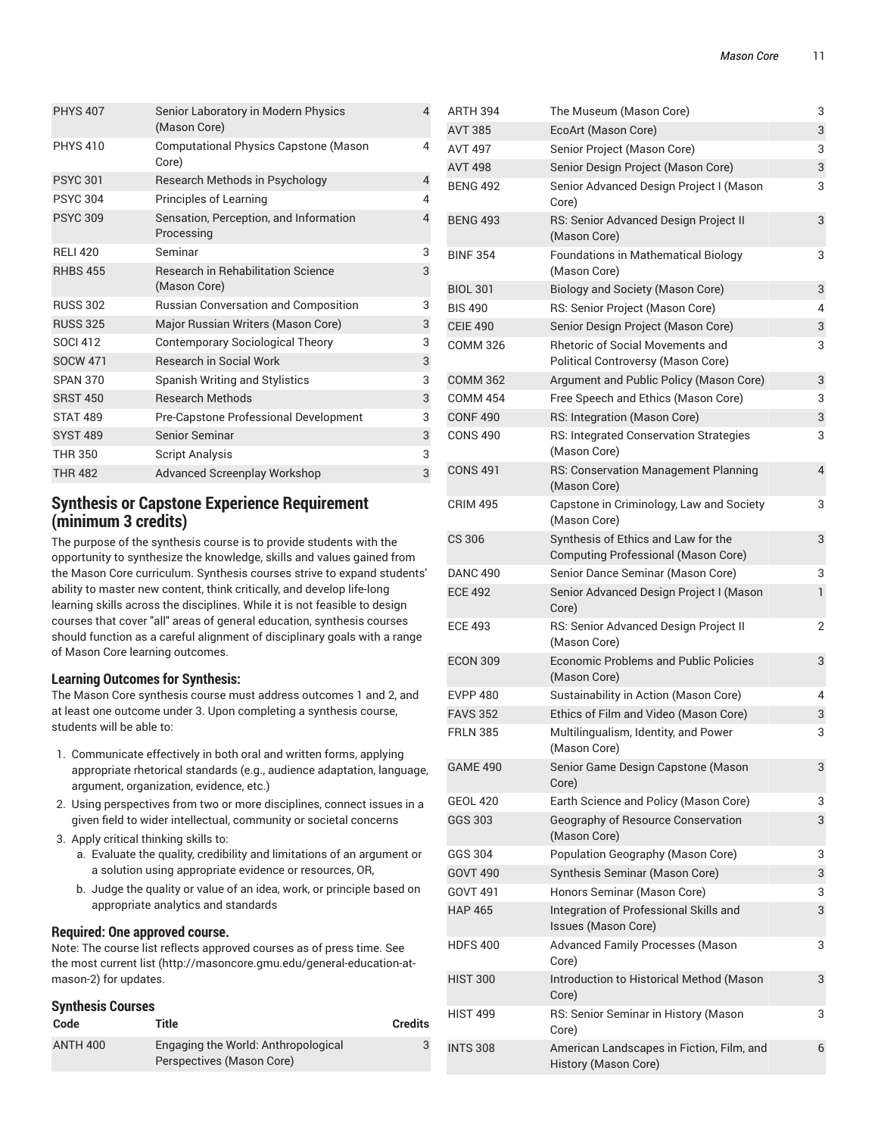| <b>PHYS 407</b> | Senior Laboratory in Modern Physics<br>(Mason Core)       | 4 |
|-----------------|-----------------------------------------------------------|---|
| <b>PHYS 410</b> | <b>Computational Physics Capstone (Mason</b><br>Core)     | 4 |
| <b>PSYC 301</b> | Research Methods in Psychology                            | 4 |
| <b>PSYC 304</b> | Principles of Learning                                    | 4 |
| <b>PSYC 309</b> | Sensation, Perception, and Information<br>Processing      | 4 |
| <b>RELI 420</b> | Seminar                                                   | 3 |
| <b>RHBS 455</b> | <b>Research in Rehabilitation Science</b><br>(Mason Core) | 3 |
| <b>RUSS 302</b> | <b>Russian Conversation and Composition</b>               | 3 |
| <b>RUSS 325</b> | Major Russian Writers (Mason Core)                        | 3 |
| <b>SOCI 412</b> | <b>Contemporary Sociological Theory</b>                   | 3 |
| <b>SOCW 471</b> | <b>Research in Social Work</b>                            | 3 |
| <b>SPAN 370</b> | Spanish Writing and Stylistics                            | 3 |
| <b>SRST 450</b> | <b>Research Methods</b>                                   | 3 |
| <b>STAT 489</b> | Pre-Capstone Professional Development                     | 3 |
| <b>SYST 489</b> | <b>Senior Seminar</b>                                     | 3 |
| THR 350         | <b>Script Analysis</b>                                    | 3 |
| <b>THR 482</b>  | <b>Advanced Screenplay Workshop</b>                       | 3 |

### **Synthesis or Capstone Experience Requirement (minimum 3 credits)**

The purpose of the synthesis course is to provide students with the opportunity to synthesize the knowledge, skills and values gained from the Mason Core curriculum. Synthesis courses strive to expand students' ability to master new content, think critically, and develop life-long learning skills across the disciplines. While it is not feasible to design courses that cover "all" areas of general education, synthesis courses should function as a careful alignment of disciplinary goals with a range of Mason Core learning outcomes.

### **Learning Outcomes for Synthesis:**

The Mason Core synthesis course must address outcomes 1 and 2, and at least one outcome under 3. Upon completing a synthesis course, students will be able to:

- 1. Communicate effectively in both oral and written forms, applying appropriate rhetorical standards (e.g., audience adaptation, language, argument, organization, evidence, etc.)
- 2. Using perspectives from two or more disciplines, connect issues in a given field to wider intellectual, community or societal concerns
- 3. Apply critical thinking skills to:
	- a. Evaluate the quality, credibility and limitations of an argument or a solution using appropriate evidence or resources, OR,
	- b. Judge the quality or value of an idea, work, or principle based on appropriate analytics and standards

### **Required: One approved course.**

Note: The course list reflects approved courses as of press time. See the most current list (http://masoncore.gmu.edu/general-education-atmason-2) for updates.

### **Synthesis Courses**

| Code            | Title                                                            | <b>Credits</b> |
|-----------------|------------------------------------------------------------------|----------------|
| <b>ANTH 400</b> | Engaging the World: Anthropological<br>Perspectives (Mason Core) |                |

| <b>AVT 385</b>  | EcoArt (Mason Core)                                                               | 3            |
|-----------------|-----------------------------------------------------------------------------------|--------------|
| <b>AVT 497</b>  | Senior Project (Mason Core)                                                       | 3            |
| <b>AVT 498</b>  | Senior Design Project (Mason Core)                                                | 3            |
| <b>BENG 492</b> | Senior Advanced Design Project I (Mason<br>Core)                                  | 3            |
| <b>BENG 493</b> | RS: Senior Advanced Design Project II<br>(Mason Core)                             | 3            |
| <b>BINF 354</b> | <b>Foundations in Mathematical Biology</b><br>(Mason Core)                        | 3            |
| <b>BIOL 301</b> | <b>Biology and Society (Mason Core)</b>                                           | 3            |
| <b>BIS 490</b>  | RS: Senior Project (Mason Core)                                                   | 4            |
| <b>CEIE 490</b> | Senior Design Project (Mason Core)                                                | 3            |
| <b>COMM 326</b> | <b>Rhetoric of Social Movements and</b><br>Political Controversy (Mason Core)     | 3            |
| <b>COMM 362</b> | Argument and Public Policy (Mason Core)                                           | 3            |
| <b>COMM 454</b> | Free Speech and Ethics (Mason Core)                                               | 3            |
| <b>CONF 490</b> | RS: Integration (Mason Core)                                                      | 3            |
| <b>CONS 490</b> | <b>RS: Integrated Conservation Strategies</b><br>(Mason Core)                     | 3            |
| <b>CONS 491</b> | RS: Conservation Management Planning<br>(Mason Core)                              | 4            |
| <b>CRIM 495</b> | Capstone in Criminology, Law and Society<br>(Mason Core)                          | 3            |
| <b>CS 306</b>   | Synthesis of Ethics and Law for the<br><b>Computing Professional (Mason Core)</b> | 3            |
| <b>DANC 490</b> | Senior Dance Seminar (Mason Core)                                                 | 3            |
| <b>ECE 492</b>  | Senior Advanced Design Project I (Mason<br>Core)                                  | $\mathbf{1}$ |
| <b>ECE 493</b>  | RS: Senior Advanced Design Project II<br>(Mason Core)                             | 2            |
| <b>ECON 309</b> | <b>Economic Problems and Public Policies</b><br>(Mason Core)                      | 3            |
| <b>EVPP 480</b> | Sustainability in Action (Mason Core)                                             | 4            |
| <b>FAVS 352</b> | Ethics of Film and Video (Mason Core)                                             | 3            |
| <b>FRLN 385</b> | Multilingualism, Identity, and Power<br>(Mason Core)                              | 3            |
| <b>GAME 490</b> | Senior Game Design Capstone (Mason<br>Core)                                       | 3            |
| <b>GEOL 420</b> | Earth Science and Policy (Mason Core)                                             | 3            |
| GGS 303         | Geography of Resource Conservation<br>(Mason Core)                                | 3            |
| GGS 304         | Population Geography (Mason Core)                                                 | 3            |
| <b>GOVT 490</b> | Synthesis Seminar (Mason Core)                                                    | 3            |
| GOVT 491        | Honors Seminar (Mason Core)                                                       | 3            |
| <b>HAP 465</b>  | Integration of Professional Skills and<br>Issues (Mason Core)                     | 3            |
| <b>HDFS 400</b> | <b>Advanced Family Processes (Mason</b><br>Core)                                  | 3            |
| <b>HIST 300</b> | Introduction to Historical Method (Mason<br>Core)                                 | 3            |
| <b>HIST 499</b> | RS: Senior Seminar in History (Mason<br>Core)                                     | 3            |
| <b>INTS 308</b> | American Landscapes in Fiction, Film, and<br>History (Mason Core)                 | 6            |
|                 |                                                                                   |              |

ARTH 394 The Museum (Mason Core) 3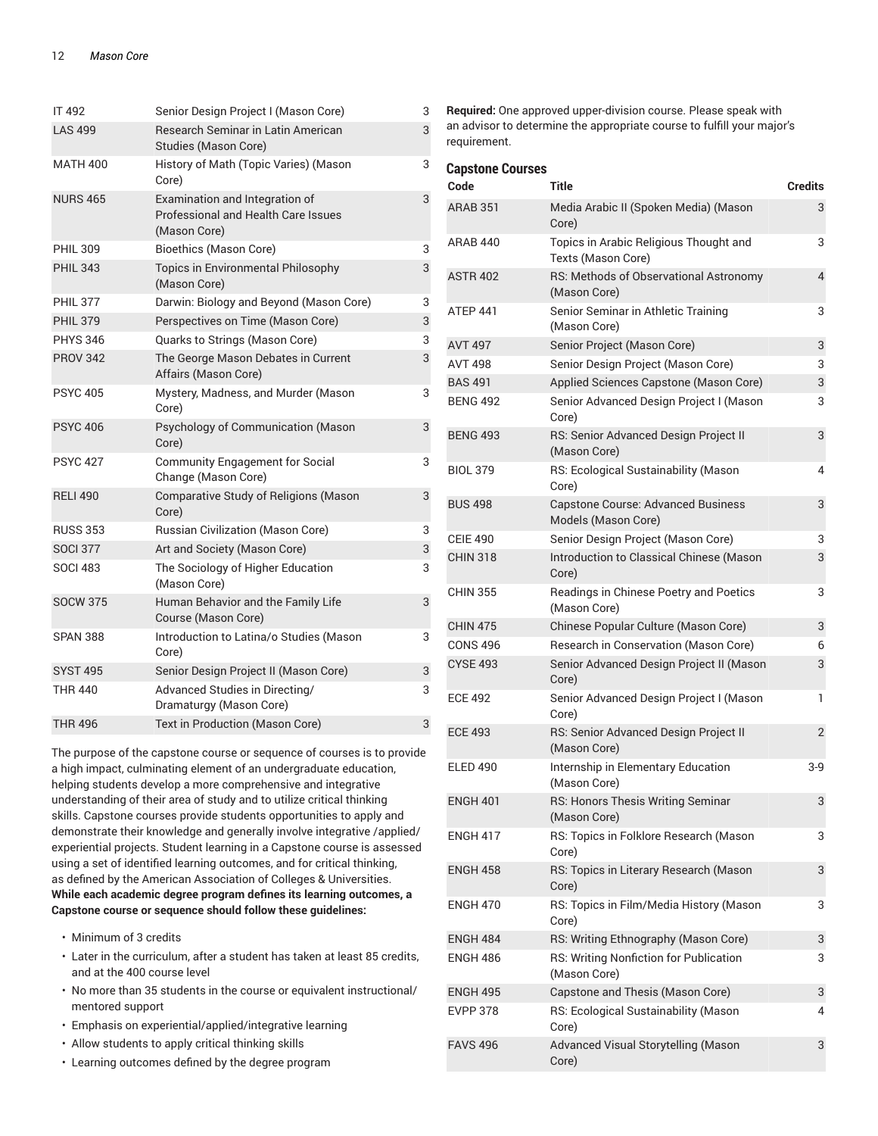| IT 492          | Senior Design Project I (Mason Core)                                                  | 3 |
|-----------------|---------------------------------------------------------------------------------------|---|
| <b>LAS 499</b>  | Research Seminar in Latin American<br><b>Studies (Mason Core)</b>                     | 3 |
| <b>MATH 400</b> | History of Math (Topic Varies) (Mason<br>Core)                                        | 3 |
| <b>NURS 465</b> | Examination and Integration of<br>Professional and Health Care Issues<br>(Mason Core) | 3 |
| <b>PHIL 309</b> | <b>Bioethics (Mason Core)</b>                                                         | 3 |
| <b>PHIL 343</b> | Topics in Environmental Philosophy<br>(Mason Core)                                    | 3 |
| <b>PHIL 377</b> | Darwin: Biology and Beyond (Mason Core)                                               | 3 |
| <b>PHIL 379</b> | Perspectives on Time (Mason Core)                                                     | 3 |
| <b>PHYS 346</b> | Quarks to Strings (Mason Core)                                                        | 3 |
| <b>PROV 342</b> | The George Mason Debates in Current<br>Affairs (Mason Core)                           | 3 |
| <b>PSYC 405</b> | Mystery, Madness, and Murder (Mason<br>Core)                                          | 3 |
| <b>PSYC 406</b> | Psychology of Communication (Mason<br>Core)                                           | 3 |
| <b>PSYC 427</b> | <b>Community Engagement for Social</b><br>Change (Mason Core)                         | 3 |
| <b>RELI 490</b> | <b>Comparative Study of Religions (Mason</b><br>Core)                                 | 3 |
| <b>RUSS 353</b> | <b>Russian Civilization (Mason Core)</b>                                              | 3 |
| <b>SOCI 377</b> | Art and Society (Mason Core)                                                          | 3 |
| <b>SOCI 483</b> | The Sociology of Higher Education<br>(Mason Core)                                     | 3 |
| <b>SOCW 375</b> | Human Behavior and the Family Life<br>Course (Mason Core)                             | 3 |
| <b>SPAN 388</b> | Introduction to Latina/o Studies (Mason<br>Core)                                      | 3 |
| <b>SYST 495</b> | Senior Design Project II (Mason Core)                                                 | 3 |
| <b>THR 440</b>  | Advanced Studies in Directing/<br>Dramaturgy (Mason Core)                             | 3 |
| <b>THR 496</b>  | Text in Production (Mason Core)                                                       | 3 |

The purpose of the capstone course or sequence of courses is to provide a high impact, culminating element of an undergraduate education, helping students develop a more comprehensive and integrative understanding of their area of study and to utilize critical thinking skills. Capstone courses provide students opportunities to apply and demonstrate their knowledge and generally involve integrative /applied/ experiential projects. Student learning in a Capstone course is assessed using a set of identified learning outcomes, and for critical thinking, as defined by the American Association of Colleges & Universities. **While each academic degree program defines its learning outcomes, a Capstone course or sequence should follow these guidelines:**

- Minimum of 3 credits
- Later in the curriculum, after a student has taken at least 85 credits, and at the 400 course level
- No more than 35 students in the course or equivalent instructional/ mentored support
- Emphasis on experiential/applied/integrative learning
- Allow students to apply critical thinking skills
- Learning outcomes defined by the degree program

**Required:** One approved upper-division course. Please speak with an advisor to determine the appropriate course to fulfill your major's requirement.

| <b>Capstone Courses</b> |                                                                  |                |
|-------------------------|------------------------------------------------------------------|----------------|
| Code                    | <b>Title</b>                                                     | <b>Credits</b> |
| <b>ARAB 351</b>         | Media Arabic II (Spoken Media) (Mason<br>Core)                   | 3              |
| ARAB 440                | Topics in Arabic Religious Thought and<br>Texts (Mason Core)     | 3              |
| <b>ASTR 402</b>         | RS: Methods of Observational Astronomy<br>(Mason Core)           | 4              |
| ATEP 441                | Senior Seminar in Athletic Training<br>(Mason Core)              | 3              |
| <b>AVT 497</b>          | Senior Project (Mason Core)                                      | 3              |
| <b>AVT 498</b>          | Senior Design Project (Mason Core)                               | 3              |
| <b>BAS 491</b>          | Applied Sciences Capstone (Mason Core)                           | 3              |
| <b>BENG 492</b>         | Senior Advanced Design Project I (Mason<br>Core)                 | 3              |
| <b>BENG 493</b>         | RS: Senior Advanced Design Project II<br>(Mason Core)            | 3              |
| <b>BIOL 379</b>         | RS: Ecological Sustainability (Mason<br>Core)                    | 4              |
| <b>BUS 498</b>          | <b>Capstone Course: Advanced Business</b><br>Models (Mason Core) | 3              |
| <b>CEIE 490</b>         | Senior Design Project (Mason Core)                               | 3              |
| <b>CHIN 318</b>         | Introduction to Classical Chinese (Mason<br>Core)                | 3              |
| <b>CHIN 355</b>         | Readings in Chinese Poetry and Poetics<br>(Mason Core)           | 3              |
| <b>CHIN 475</b>         | Chinese Popular Culture (Mason Core)                             | 3              |
| <b>CONS 496</b>         | Research in Conservation (Mason Core)                            | 6              |
| <b>CYSE 493</b>         | Senior Advanced Design Project II (Mason<br>Core)                | 3              |
| <b>ECE 492</b>          | Senior Advanced Design Project I (Mason<br>Core)                 | 1              |
| <b>ECE 493</b>          | RS: Senior Advanced Design Project II<br>(Mason Core)            | 2              |
| <b>ELED 490</b>         | Internship in Elementary Education<br>(Mason Core)               | 3-9            |
| <b>ENGH 401</b>         | RS: Honors Thesis Writing Seminar<br>(Mason Core)                | 3              |
| <b>ENGH 417</b>         | RS: Topics in Folklore Research (Mason<br>Core)                  | 3              |
| <b>ENGH 458</b>         | RS: Topics in Literary Research (Mason<br>Core)                  | 3              |
| <b>ENGH 470</b>         | RS: Topics in Film/Media History (Mason<br>Core)                 | 3              |
| ENGH 484                | RS: Writing Ethnography (Mason Core)                             | 3              |
| <b>ENGH 486</b>         | RS: Writing Nonfiction for Publication<br>(Mason Core)           | 3              |
| <b>ENGH 495</b>         | Capstone and Thesis (Mason Core)                                 | 3              |
| <b>EVPP 378</b>         | RS: Ecological Sustainability (Mason<br>Core)                    | 4              |
| <b>FAVS 496</b>         | Advanced Visual Storytelling (Mason<br>Core)                     | 3              |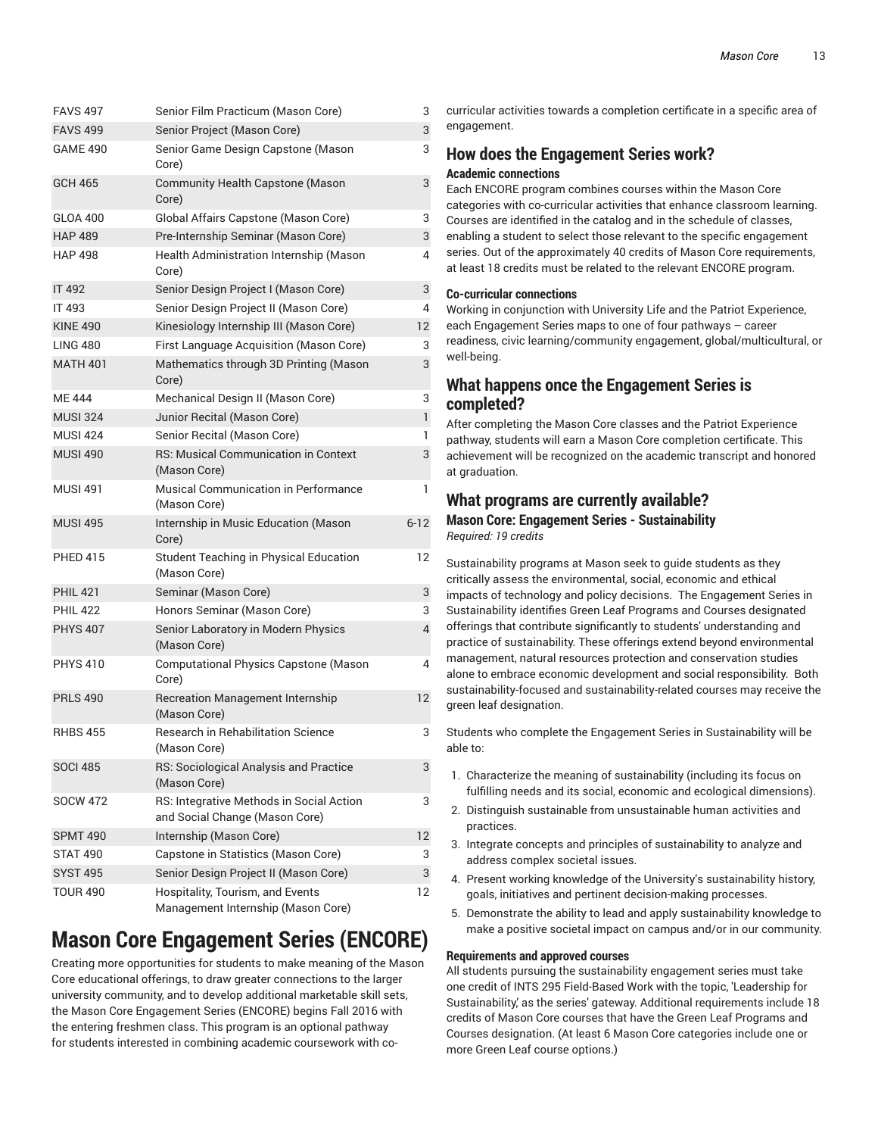| <b>FAVS 497</b> | Senior Film Practicum (Mason Core)                                         | 3            |
|-----------------|----------------------------------------------------------------------------|--------------|
| <b>FAVS 499</b> | Senior Project (Mason Core)                                                | 3            |
| <b>GAME 490</b> | Senior Game Design Capstone (Mason<br>Core)                                | 3            |
| <b>GCH 465</b>  | <b>Community Health Capstone (Mason</b><br>Core)                           | 3            |
| <b>GLOA 400</b> | Global Affairs Capstone (Mason Core)                                       | 3            |
| <b>HAP 489</b>  | Pre-Internship Seminar (Mason Core)                                        | 3            |
| <b>HAP 498</b>  | Health Administration Internship (Mason<br>Core)                           | 4            |
| <b>IT 492</b>   | Senior Design Project I (Mason Core)                                       | 3            |
| IT 493          | Senior Design Project II (Mason Core)                                      | 4            |
| <b>KINE 490</b> | Kinesiology Internship III (Mason Core)                                    | 12           |
| <b>LING 480</b> | First Language Acquisition (Mason Core)                                    | 3            |
| <b>MATH 401</b> | Mathematics through 3D Printing (Mason<br>Core)                            | 3            |
| <b>ME444</b>    | Mechanical Design II (Mason Core)                                          | 3            |
| <b>MUSI 324</b> | Junior Recital (Mason Core)                                                | $\mathbf{1}$ |
| <b>MUSI 424</b> | Senior Recital (Mason Core)                                                | 1            |
| <b>MUSI 490</b> | RS: Musical Communication in Context<br>(Mason Core)                       | 3            |
| <b>MUSI 491</b> | Musical Communication in Performance<br>(Mason Core)                       | 1            |
| <b>MUSI 495</b> | Internship in Music Education (Mason<br>Core)                              | $6 - 12$     |
| <b>PHED 415</b> | Student Teaching in Physical Education<br>(Mason Core)                     | 12           |
| <b>PHIL 421</b> | Seminar (Mason Core)                                                       | 3            |
| <b>PHIL 422</b> | Honors Seminar (Mason Core)                                                | 3            |
| <b>PHYS 407</b> | Senior Laboratory in Modern Physics<br>(Mason Core)                        | 4            |
| <b>PHYS 410</b> | <b>Computational Physics Capstone (Mason</b><br>Core)                      | 4            |
| <b>PRLS 490</b> | <b>Recreation Management Internship</b><br>(Mason Core)                    | 12           |
| <b>RHBS 455</b> | Research in Rehabilitation Science<br>(Mason Core)                         | 3            |
| <b>SOCI 485</b> | RS: Sociological Analysis and Practice<br>(Mason Core)                     | 3            |
| <b>SOCW 472</b> | RS: Integrative Methods in Social Action<br>and Social Change (Mason Core) | 3            |
| <b>SPMT 490</b> | Internship (Mason Core)                                                    | 12           |
| STAT 490        | Capstone in Statistics (Mason Core)                                        | 3            |
| <b>SYST 495</b> | Senior Design Project II (Mason Core)                                      | 3            |
| <b>TOUR 490</b> | Hospitality, Tourism, and Events<br>Management Internship (Mason Core)     | 12           |
|                 |                                                                            |              |

## **Mason Core Engagement Series (ENCORE)**

Creating more opportunities for students to make meaning of the Mason Core educational offerings, to draw greater connections to the larger university community, and to develop additional marketable skill sets, the Mason Core Engagement Series (ENCORE) begins Fall 2016 with the entering freshmen class. This program is an optional pathway for students interested in combining academic coursework with co-

curricular activities towards a completion certificate in a specific area of engagement.

### **How does the Engagement Series work? Academic connections**

Each ENCORE program combines courses within the Mason Core categories with co-curricular activities that enhance classroom learning. Courses are identified in the catalog and in the schedule of classes, enabling a student to select those relevant to the specific engagement series. Out of the approximately 40 credits of Mason Core requirements, at least 18 credits must be related to the relevant ENCORE program.

### **Co-curricular connections**

Working in conjunction with University Life and the Patriot Experience, each Engagement Series maps to one of four pathways – career readiness, civic learning/community engagement, global/multicultural, or well-being.

### **What happens once the Engagement Series is completed?**

After completing the Mason Core classes and the Patriot Experience pathway, students will earn a Mason Core completion certificate. This achievement will be recognized on the academic transcript and honored at graduation.

### **What programs are currently available?**

**Mason Core: Engagement Series - Sustainability** *Required: 19 credits*

Sustainability programs at Mason seek to guide students as they critically assess the environmental, social, economic and ethical impacts of technology and policy decisions. The Engagement Series in Sustainability identifies Green Leaf Programs and Courses designated offerings that contribute significantly to students' understanding and practice of sustainability. These offerings extend beyond environmental management, natural resources protection and conservation studies alone to embrace economic development and social responsibility. Both sustainability-focused and sustainability-related courses may receive the green leaf designation.

Students who complete the Engagement Series in Sustainability will be able to:

- 1. Characterize the meaning of sustainability (including its focus on fulfilling needs and its social, economic and ecological dimensions).
- 2. Distinguish sustainable from unsustainable human activities and practices.
- 3. Integrate concepts and principles of sustainability to analyze and address complex societal issues.
- 4. Present working knowledge of the University's sustainability history, goals, initiatives and pertinent decision-making processes.
- 5. Demonstrate the ability to lead and apply sustainability knowledge to make a positive societal impact on campus and/or in our community.

### **Requirements and approved courses**

All students pursuing the sustainability engagement series must take one credit of INTS 295 Field-Based Work with the topic, 'Leadership for Sustainability,' as the series' gateway. Additional requirements include 18 credits of Mason Core courses that have the Green Leaf Programs and Courses designation. (At least 6 Mason Core categories include one or more Green Leaf course options.)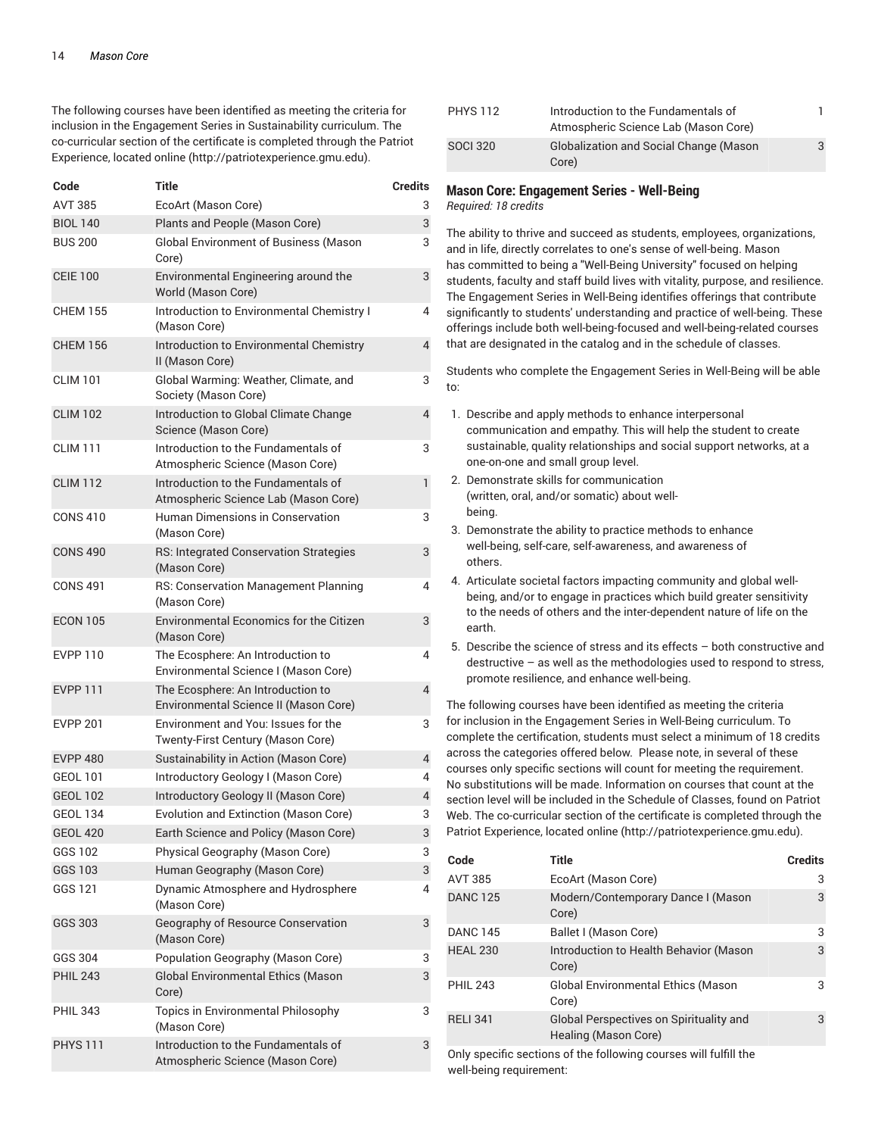The following courses have been identified as meeting the criteria for inclusion in the Engagement Series in Sustainability curriculum. The co-curricular section of the certificate is completed through the Patriot Experience, located online (http://patriotexperience.gmu.edu).

| Code            | Title                |                                                                             | Credits        |
|-----------------|----------------------|-----------------------------------------------------------------------------|----------------|
| <b>AVT 385</b>  | EcoArt (Mason Core)  |                                                                             | 3              |
| <b>BIOL 140</b> |                      | Plants and People (Mason Core)                                              | 3              |
| <b>BUS 200</b>  | Core)                | <b>Global Environment of Business (Mason</b>                                | 3              |
| <b>CEIE 100</b> | World (Mason Core)   | Environmental Engineering around the                                        | 3              |
| <b>CHEM 155</b> | (Mason Core)         | Introduction to Environmental Chemistry I                                   | 4              |
| <b>CHEM 156</b> | II (Mason Core)      | Introduction to Environmental Chemistry                                     | $\overline{4}$ |
| <b>CLIM 101</b> | Society (Mason Core) | Global Warming: Weather, Climate, and                                       | 3              |
| <b>CLIM 102</b> | Science (Mason Core) | Introduction to Global Climate Change                                       | $\overline{4}$ |
| <b>CLIM 111</b> |                      | Introduction to the Fundamentals of<br>Atmospheric Science (Mason Core)     | 3              |
| <b>CLIM 112</b> |                      | Introduction to the Fundamentals of<br>Atmospheric Science Lab (Mason Core) | 1              |
| <b>CONS 410</b> | (Mason Core)         | Human Dimensions in Conservation                                            | 3              |
| <b>CONS 490</b> | (Mason Core)         | RS: Integrated Conservation Strategies                                      | 3              |
| <b>CONS 491</b> | (Mason Core)         | RS: Conservation Management Planning                                        | 4              |
| <b>ECON 105</b> | (Mason Core)         | <b>Environmental Economics for the Citizen</b>                              | 3              |
| <b>EVPP 110</b> |                      | The Ecosphere: An Introduction to<br>Environmental Science I (Mason Core)   | 4              |
| <b>EVPP 111</b> |                      | The Ecosphere: An Introduction to<br>Environmental Science II (Mason Core)  | $\overline{4}$ |
| <b>EVPP 201</b> |                      | Environment and You: Issues for the<br>Twenty-First Century (Mason Core)    | 3              |
| <b>EVPP 480</b> |                      | Sustainability in Action (Mason Core)                                       | $\overline{4}$ |
| <b>GEOL 101</b> |                      | Introductory Geology I (Mason Core)                                         | 4              |
| <b>GEOL 102</b> |                      | Introductory Geology II (Mason Core)                                        | $\overline{4}$ |
| <b>GEOL 134</b> |                      | Evolution and Extinction (Mason Core)                                       | 3              |
| <b>GEOL 420</b> |                      | Earth Science and Policy (Mason Core)                                       | 3              |
| GGS 102         |                      | Physical Geography (Mason Core)                                             | 3              |
| GGS 103         |                      | Human Geography (Mason Core)                                                | 3              |
| GGS 121         | (Mason Core)         | Dynamic Atmosphere and Hydrosphere                                          | 4              |
| <b>GGS 303</b>  | (Mason Core)         | Geography of Resource Conservation                                          | 3              |
| GGS 304         |                      | Population Geography (Mason Core)                                           | 3              |
| <b>PHIL 243</b> | Core)                | Global Environmental Ethics (Mason                                          | 3              |
| <b>PHIL 343</b> | (Mason Core)         | Topics in Environmental Philosophy                                          | 3              |
| <b>PHYS 111</b> |                      | Introduction to the Fundamentals of<br>Atmospheric Science (Mason Core)     | 3              |
|                 |                      |                                                                             |                |

| PHYS 112        | Introduction to the Fundamentals of           |   |
|-----------------|-----------------------------------------------|---|
|                 | Atmospheric Science Lab (Mason Core)          |   |
| <b>SOCI 320</b> | <b>Globalization and Social Change (Mason</b> | 3 |
|                 | Core)                                         |   |

#### **Mason Core: Engagement Series - Well-Being**

*Required: 18 credits*

The ability to thrive and succeed as students, employees, organizations, and in life, directly correlates to one's sense of well-being. Mason has committed to being a "Well-Being University" focused on helping students, faculty and staff build lives with vitality, purpose, and resilience. The Engagement Series in Well-Being identifies offerings that contribute significantly to students' understanding and practice of well-being. These offerings include both well-being-focused and well-being-related courses that are designated in the catalog and in the schedule of classes.

Students who complete the Engagement Series in Well-Being will be able to:

- 1. Describe and apply methods to enhance interpersonal communication and empathy. This will help the student to create sustainable, quality relationships and social support networks, at a one-on-one and small group level.
- 2. Demonstrate skills for communication (written, oral, and/or somatic) about wellbeing. The contract of the contract of the contract of the contract of the contract of the contract of the contract of the contract of the contract of the contract of the contract of the contract of the contract of the con
- 3. Demonstrate the ability to practice methods to enhance well-being, self-care, self-awareness, and awareness of others.
- 4. Articulate societal factors impacting community and global wellbeing, and/or to engage in practices which build greater sensitivity to the needs of others and the inter-dependent nature of life on the earth.
- 5. Describe the science of stress and its effects both constructive and destructive – as well as the methodologies used to respond to stress, promote resilience, and enhance well-being.

The following courses have been identified as meeting the criteria for inclusion in the Engagement Series in Well-Being curriculum. To complete the certification, students must select a minimum of 18 credits across the categories offered below. Please note, in several of these courses only specific sections will count for meeting the requirement. No substitutions will be made. Information on courses that count at the section level will be included in the Schedule of Classes, found on Patriot Web. The co-curricular section of the certificate is completed through the Patriot Experience, located online (http://patriotexperience.gmu.edu).

| Code            | <b>Title</b>                                                    | <b>Credits</b> |
|-----------------|-----------------------------------------------------------------|----------------|
| AVT 385         | EcoArt (Mason Core)                                             | 3              |
| <b>DANC 125</b> | Modern/Contemporary Dance I (Mason<br>Core)                     | 3              |
| <b>DANC 145</b> | Ballet I (Mason Core)                                           | 3              |
| <b>HEAL 230</b> | Introduction to Health Behavior (Mason<br>Core)                 | 3              |
| <b>PHIL 243</b> | <b>Global Environmental Ethics (Mason</b><br>Core)              | 3              |
| <b>RELI 341</b> | Global Perspectives on Spirituality and<br>Healing (Mason Core) | 3              |

Only specific sections of the following courses will fulfill the well-being requirement: